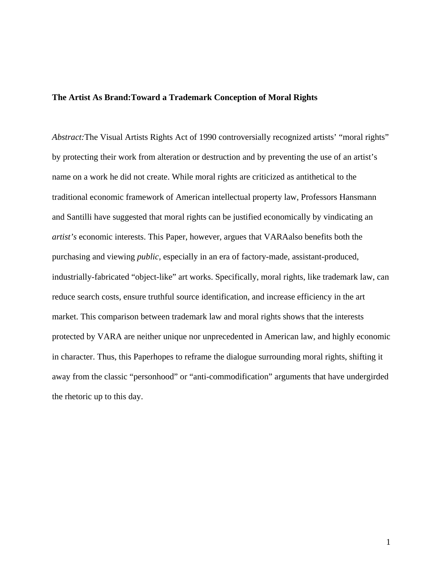# **The Artist As Brand:Toward a Trademark Conception of Moral Rights**

*Abstract:*The Visual Artists Rights Act of 1990 controversially recognized artists' "moral rights" by protecting their work from alteration or destruction and by preventing the use of an artist's name on a work he did not create. While moral rights are criticized as antithetical to the traditional economic framework of American intellectual property law, Professors Hansmann and Santilli have suggested that moral rights can be justified economically by vindicating an *artist's* economic interests. This Paper, however, argues that VARAalso benefits both the purchasing and viewing *public*, especially in an era of factory-made, assistant-produced, industrially-fabricated "object-like" art works. Specifically, moral rights, like trademark law, can reduce search costs, ensure truthful source identification, and increase efficiency in the art market. This comparison between trademark law and moral rights shows that the interests protected by VARA are neither unique nor unprecedented in American law, and highly economic in character. Thus, this Paperhopes to reframe the dialogue surrounding moral rights, shifting it away from the classic "personhood" or "anti-commodification" arguments that have undergirded the rhetoric up to this day.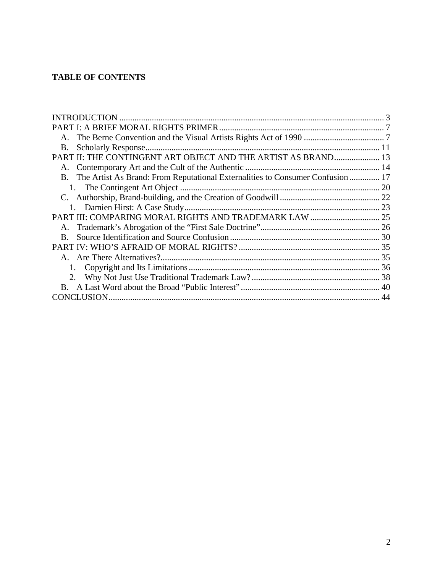# **TABLE OF CONTENTS**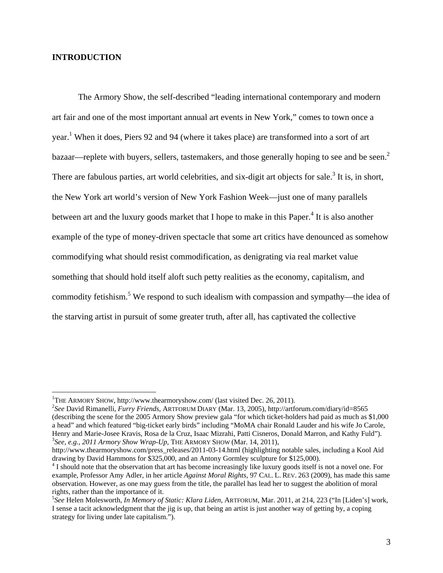# **INTRODUCTION**

The Armory Show, the self-described "leading international contemporary and modern art fair and one of the most important annual art events in New York," comes to town once a year.<sup>1</sup> When it does, Piers 92 and 94 (where it takes place) are transformed into a sort of art bazaar—replete with buyers, sellers, tastemakers, and those generally hoping to see and be seen.<sup>2</sup> There are fabulous parties, art world celebrities, and six-digit art objects for sale.<sup>3</sup> It is, in short, the New York art world's version of New York Fashion Week—just one of many parallels between art and the luxury goods market that I hope to make in this Paper.<sup>4</sup> It is also another example of the type of money-driven spectacle that some art critics have denounced as somehow commodifying what should resist commodification, as denigrating via real market value something that should hold itself aloft such petty realities as the economy, capitalism, and commodity fetishism.<sup>5</sup> We respond to such idealism with compassion and sympathy—the idea of the starving artist in pursuit of some greater truth, after all, has captivated the collective

<sup>&</sup>lt;sup>1</sup>THE ARMORY SHOW, http://www.thearmoryshow.com/ (last visited Dec. 26, 2011).<br><sup>2</sup>See David Bimanalli, *Eugen Exigade, ART*EONIM DIABY (Mar. 13, 2005), http://art.

*See* David Rimanelli, *Furry Friends*, ARTFORUM DIARY (Mar. 13, 2005), http://artforum.com/diary/id=8565 (describing the scene for the 2005 Armory Show preview gala "for which ticket-holders had paid as much as \$1,000 a head" and which featured "big-ticket early birds" including "MoMA chair Ronald Lauder and his wife Jo Carole, Henry and Marie-Josee Kravis, Rosa de la Cruz, Isaac Mizrahi, Patti Cisneros, Donald Marron, and Kathy Fuld"). 3 *See, e.g.*, *2011 Armory Show Wrap-Up*, THE ARMORY SHOW (Mar. 14, 2011),

http://www.thearmoryshow.com/press\_releases/2011-03-14.html (highlighting notable sales, including a Kool Aid drawing by David Hammons for \$325,000, and an Antony Gormley sculpture for \$125,000).

<sup>&</sup>lt;sup>4</sup> I should note that the observation that art has become increasingly like luxury goods itself is not a novel one. For example, Professor Amy Adler, in her article *Against Moral Rights*, 97 CAL. L. REV. 263 (2009), has made this same observation. However, as one may guess from the title, the parallel has lead her to suggest the abolition of moral rights, rather than the importance of it.

<sup>5</sup> *See* Helen Molesworth, *In Memory of Static: Klara Liden*, ARTFORUM, Mar. 2011, at 214, 223 ("In [Liden's] work, I sense a tacit acknowledgment that the jig is up, that being an artist is just another way of getting by, a coping strategy for living under late capitalism.").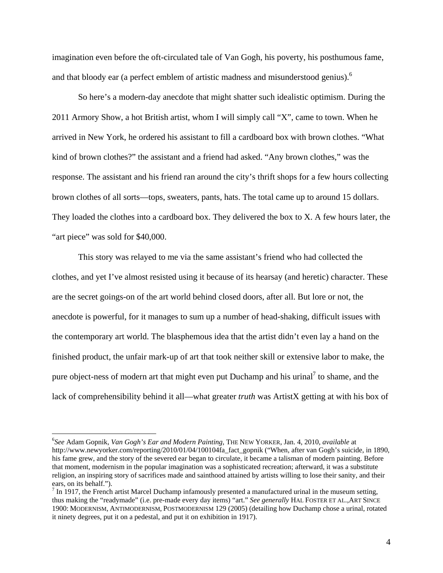imagination even before the oft-circulated tale of Van Gogh, his poverty, his posthumous fame, and that bloody ear (a perfect emblem of artistic madness and misunderstood genius).<sup>6</sup>

So here's a modern-day anecdote that might shatter such idealistic optimism. During the 2011 Armory Show, a hot British artist, whom I will simply call "X", came to town. When he arrived in New York, he ordered his assistant to fill a cardboard box with brown clothes. "What kind of brown clothes?" the assistant and a friend had asked. "Any brown clothes," was the response. The assistant and his friend ran around the city's thrift shops for a few hours collecting brown clothes of all sorts—tops, sweaters, pants, hats. The total came up to around 15 dollars. They loaded the clothes into a cardboard box. They delivered the box to X. A few hours later, the "art piece" was sold for \$40,000.

This story was relayed to me via the same assistant's friend who had collected the clothes, and yet I've almost resisted using it because of its hearsay (and heretic) character. These are the secret goings-on of the art world behind closed doors, after all. But lore or not, the anecdote is powerful, for it manages to sum up a number of head-shaking, difficult issues with the contemporary art world. The blasphemous idea that the artist didn't even lay a hand on the finished product, the unfair mark-up of art that took neither skill or extensive labor to make, the pure object-ness of modern art that might even put Duchamp and his urinal<sup>7</sup> to shame, and the lack of comprehensibility behind it all—what greater *truth* was ArtistX getting at with his box of

<sup>6</sup> *See* Adam Gopnik, *Van Gogh's Ear and Modern Painting*, THE NEW YORKER, Jan. 4, 2010, *available* at http://www.newyorker.com/reporting/2010/01/04/100104fa\_fact\_gopnik ("When, after van Gogh's suicide, in 1890, his fame grew, and the story of the severed ear began to circulate, it became a talisman of modern painting. Before that moment, modernism in the popular imagination was a sophisticated recreation; afterward, it was a substitute religion, an inspiring story of sacrifices made and sainthood attained by artists willing to lose their sanity, and their ears, on its behalf.").

 $<sup>7</sup>$  In 1917, the French artist Marcel Duchamp infamously presented a manufactured urinal in the museum setting,</sup> thus making the "readymade" (i.e. pre-made every day items) "art." *See generally* HAL FOSTER ET AL.,ART SINCE 1900: MODERNISM, ANTIMODERNISM, POSTMODERNISM 129 (2005) (detailing how Duchamp chose a urinal, rotated it ninety degrees, put it on a pedestal, and put it on exhibition in 1917).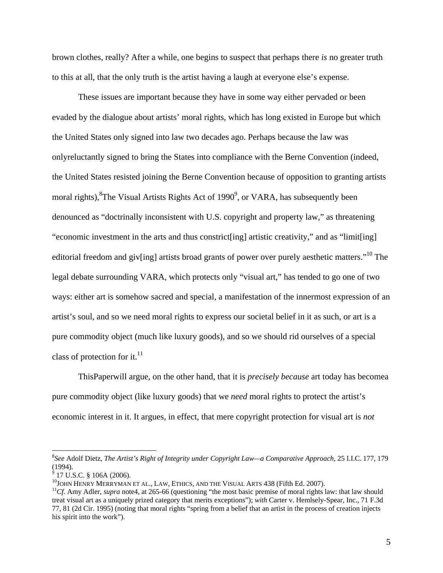brown clothes, really? After a while, one begins to suspect that perhaps there *is* no greater truth to this at all, that the only truth is the artist having a laugh at everyone else's expense.

These issues are important because they have in some way either pervaded or been evaded by the dialogue about artists' moral rights, which has long existed in Europe but which the United States only signed into law two decades ago. Perhaps because the law was onlyreluctantly signed to bring the States into compliance with the Berne Convention (indeed, the United States resisted joining the Berne Convention because of opposition to granting artists moral rights), <sup>8</sup>The Visual Artists Rights Act of 1990<sup>9</sup>, or VARA, has subsequently been denounced as "doctrinally inconsistent with U.S. copyright and property law," as threatening "economic investment in the arts and thus constrict[ing] artistic creativity," and as "limit[ing] editorial freedom and giv[ing] artists broad grants of power over purely aesthetic matters."<sup>10</sup> The legal debate surrounding VARA, which protects only "visual art," has tended to go one of two ways: either art is somehow sacred and special, a manifestation of the innermost expression of an artist's soul, and so we need moral rights to express our societal belief in it as such, or art is a pure commodity object (much like luxury goods), and so we should rid ourselves of a special class of protection for it. $^{11}$ 

ThisPaperwill argue, on the other hand, that it is *precisely because* art today has becomea pure commodity object (like luxury goods) that we *need* moral rights to protect the artist's economic interest in it. It argues, in effect, that mere copyright protection for visual art is *not* 

<sup>8</sup> *See* Adolf Dietz, *The Artist's Right of Integrity under Copyright Law—a Comparative Approach*, 25 I.I.C. 177, 179 (1994).

 $9$  17 U.S.C. § 106A (2006).

<sup>&</sup>lt;sup>10</sup>JOHN HENRY MERRYMAN ET AL., LAW, ETHICS, AND THE VISUAL ARTS 438 (Fifth Ed. 2007).<br><sup>11</sup>Cf. Amy Adler, *supra* note4, at 265-66 (questioning "the most basic premise of moral rights law: that law should treat visual art as a uniquely prized category that merits exceptions"); *with* Carter v. Hemlsely-Spear, Inc., 71 F.3d 77, 81 (2d Cir. 1995) (noting that moral rights "spring from a belief that an artist in the process of creation injects his spirit into the work").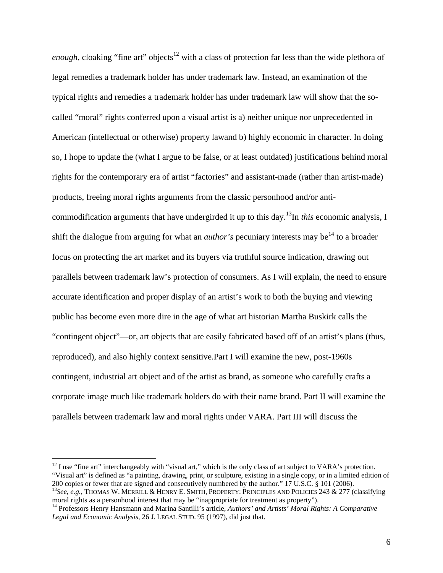*enough*, cloaking "fine art" objects<sup>12</sup> with a class of protection far less than the wide plethora of legal remedies a trademark holder has under trademark law. Instead, an examination of the typical rights and remedies a trademark holder has under trademark law will show that the socalled "moral" rights conferred upon a visual artist is a) neither unique nor unprecedented in American (intellectual or otherwise) property lawand b) highly economic in character. In doing so, I hope to update the (what I argue to be false, or at least outdated) justifications behind moral rights for the contemporary era of artist "factories" and assistant-made (rather than artist-made) products, freeing moral rights arguments from the classic personhood and/or anticommodification arguments that have undergirded it up to this day.13In *this* economic analysis, I shift the dialogue from arguing for what an *author's* pecuniary interests may be<sup>14</sup> to a broader focus on protecting the art market and its buyers via truthful source indication, drawing out parallels between trademark law's protection of consumers. As I will explain, the need to ensure accurate identification and proper display of an artist's work to both the buying and viewing public has become even more dire in the age of what art historian Martha Buskirk calls the "contingent object"—or, art objects that are easily fabricated based off of an artist's plans (thus, reproduced), and also highly context sensitive.Part I will examine the new, post-1960s contingent, industrial art object and of the artist as brand, as someone who carefully crafts a corporate image much like trademark holders do with their name brand. Part II will examine the parallels between trademark law and moral rights under VARA. Part III will discuss the

 $12$  I use "fine art" interchangeably with "visual art," which is the only class of art subject to VARA's protection. "Visual art" is defined as "a painting, drawing, print, or sculpture, existing in a single copy, or in a limited edition of 200 copies or fewer that are signed and consecutively numbered by the author." 17 U.S.C. § 101 (2006).

<sup>&</sup>lt;sup>13</sup>See, e.g., THOMAS W. MERRILL & HENRY E. SMITH, PROPERTY: PRINCIPLES AND POLICIES 243 & 277 (classifying moral rights as a personhood interest that may be "inappropriate for treatment as property").

<sup>&</sup>lt;sup>14</sup> Professors Henry Hansmann and Marina Santilli's article, *Authors' and Artists' Moral Rights: A Comparative Legal and Economic Analysis*, 26 J. LEGAL STUD. 95 (1997), did just that.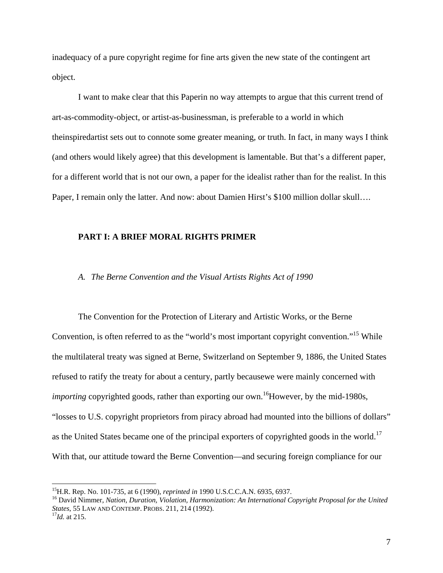inadequacy of a pure copyright regime for fine arts given the new state of the contingent art object.

I want to make clear that this Paperin no way attempts to argue that this current trend of art-as-commodity-object, or artist-as-businessman, is preferable to a world in which theinspiredartist sets out to connote some greater meaning, or truth. In fact, in many ways I think (and others would likely agree) that this development is lamentable. But that's a different paper, for a different world that is not our own, a paper for the idealist rather than for the realist. In this Paper, I remain only the latter. And now: about Damien Hirst's \$100 million dollar skull….

## **PART I: A BRIEF MORAL RIGHTS PRIMER**

## *A. The Berne Convention and the Visual Artists Rights Act of 1990*

The Convention for the Protection of Literary and Artistic Works, or the Berne Convention, is often referred to as the "world's most important copyright convention."<sup>15</sup> While the multilateral treaty was signed at Berne, Switzerland on September 9, 1886, the United States refused to ratify the treaty for about a century, partly becausewe were mainly concerned with *importing copyrighted goods, rather than exporting our own.*<sup>16</sup>However, by the mid-1980s, "losses to U.S. copyright proprietors from piracy abroad had mounted into the billions of dollars" as the United States became one of the principal exporters of copyrighted goods in the world.<sup>17</sup> With that, our attitude toward the Berne Convention—and securing foreign compliance for our

<sup>&</sup>lt;sup>15</sup>H.R. Rep. No. 101-735, at 6 (1990), *reprinted in* 1990 U.S.C.C.A.N. 6935, 6937.

<sup>&</sup>lt;sup>16</sup> David Nimmer, Nation, Duration, Violation, Harmonization: An International Copyright Proposal for the United *States*, 55 LAW AND CONTEMP. PROBS. 211, 214 (1992). 17*Id.* at 215.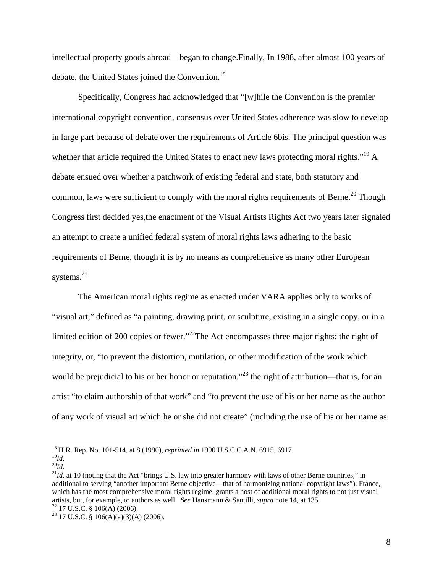intellectual property goods abroad—began to change.Finally, In 1988, after almost 100 years of debate, the United States joined the Convention.<sup>18</sup>

 Specifically, Congress had acknowledged that "[w]hile the Convention is the premier international copyright convention, consensus over United States adherence was slow to develop in large part because of debate over the requirements of Article 6bis. The principal question was whether that article required the United States to enact new laws protecting moral rights."<sup>19</sup> A debate ensued over whether a patchwork of existing federal and state, both statutory and common, laws were sufficient to comply with the moral rights requirements of Berne.<sup>20</sup> Though Congress first decided yes,the enactment of the Visual Artists Rights Act two years later signaled an attempt to create a unified federal system of moral rights laws adhering to the basic requirements of Berne, though it is by no means as comprehensive as many other European systems.<sup>21</sup>

The American moral rights regime as enacted under VARA applies only to works of "visual art," defined as "a painting, drawing print, or sculpture, existing in a single copy, or in a limited edition of 200 copies or fewer."<sup>22</sup>The Act encompasses three major rights: the right of integrity, or, "to prevent the distortion, mutilation, or other modification of the work which would be prejudicial to his or her honor or reputation,"<sup>23</sup> the right of attribution—that is, for an artist "to claim authorship of that work" and "to prevent the use of his or her name as the author of any work of visual art which he or she did not create" (including the use of his or her name as

<sup>18</sup> H.R. Rep. No. 101-514, at 8 (1990), *reprinted in* 1990 U.S.C.C.A.N. 6915, 6917. <sup>19</sup>*Id.* 

 $^{20}$ *Id.* 

 $21$ *Id.* at 10 (noting that the Act "brings U.S. law into greater harmony with laws of other Berne countries," in additional to serving "another important Berne objective—that of harmonizing national copyright laws"). France, which has the most comprehensive moral rights regime, grants a host of additional moral rights to not just visual artists, but, for example, to authors as well. *See* Hansmann & Santilli, *supra* note 14, at 135. 22 17 U.S.C. § 106(A) (2006).

<sup>&</sup>lt;sup>23</sup> 17 U.S.C. § 106(A)(a)(3)(A) (2006).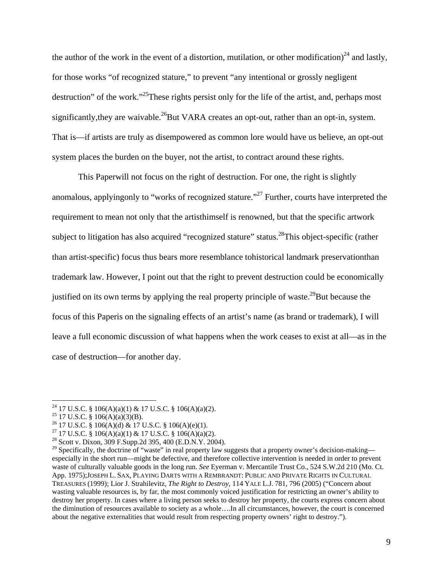the author of the work in the event of a distortion, mutilation, or other modification)<sup>24</sup> and lastly, for those works "of recognized stature," to prevent "any intentional or grossly negligent destruction" of the work."<sup>25</sup>These rights persist only for the life of the artist, and, perhaps most significantly, they are waivable.<sup>26</sup>But VARA creates an opt-out, rather than an opt-in, system. That is—if artists are truly as disempowered as common lore would have us believe, an opt-out system places the burden on the buyer, not the artist, to contract around these rights.

This Paperwill not focus on the right of destruction. For one, the right is slightly anomalous, applyingonly to "works of recognized stature."<sup>27</sup> Further, courts have interpreted the requirement to mean not only that the artisthimself is renowned, but that the specific artwork subject to litigation has also acquired "recognized stature" status.<sup>28</sup>This object-specific (rather than artist-specific) focus thus bears more resemblance tohistorical landmark preservationthan trademark law. However, I point out that the right to prevent destruction could be economically justified on its own terms by applying the real property principle of waste.<sup>29</sup>But because the focus of this Paperis on the signaling effects of an artist's name (as brand or trademark), I will leave a full economic discussion of what happens when the work ceases to exist at all—as in the case of destruction—for another day.

<sup>&</sup>lt;sup>24</sup> 17 U.S.C. § 106(A)(a)(1) & 17 U.S.C. § 106(A)(a)(2).

<sup>&</sup>lt;sup>25</sup> 17 U.S.C. § 106(A)(a)(3)(B).

<sup>&</sup>lt;sup>26</sup> 17 U.S.C. § 106(A)(d) & 17 U.S.C. § 106(A)(e)(1).

<sup>&</sup>lt;sup>27</sup> 17 U.S.C. § 106(A)(a)(1) & 17 U.S.C. § 106(A)(a)(2).

<sup>28</sup> Scott v. Dixon, 309 F.Supp.2d 395, 400 (E.D.N.Y. 2004).

<sup>&</sup>lt;sup>29</sup> Specifically, the doctrine of "waste" in real property law suggests that a property owner's decision-making especially in the short run—might be defective, and therefore collective intervention is needed in order to prevent waste of culturally valuable goods in the long run. *See* Eyerman v. Mercantile Trust Co., 524 S.W.2d 210 (Mo. Ct. App. 1975);JOSEPH L. SAX, PLAYING DARTS WITH A REMBRANDT: PUBLIC AND PRIVATE RIGHTS IN CULTURAL TREASURES (1999); Lior J. Strahilevitz, *The Right to Destroy*, 114 YALE L.J. 781, 796 (2005) ("Concern about wasting valuable resources is, by far, the most commonly voiced justification for restricting an owner's ability to destroy her property. In cases where a living person seeks to destroy her property, the courts express concern about the diminution of resources available to society as a whole….In all circumstances, however, the court is concerned about the negative externalities that would result from respecting property owners' right to destroy.").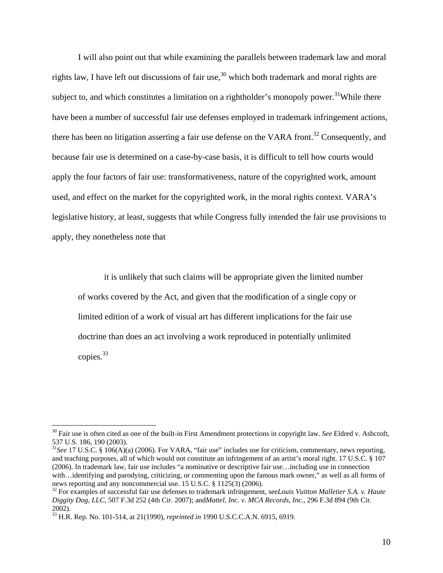I will also point out that while examining the parallels between trademark law and moral rights law, I have left out discussions of fair use,<sup>30</sup> which both trademark and moral rights are subject to, and which constitutes a limitation on a rightholder's monopoly power.<sup>31</sup>While there have been a number of successful fair use defenses employed in trademark infringement actions, there has been no litigation asserting a fair use defense on the VARA front.<sup>32</sup> Consequently, and because fair use is determined on a case-by-case basis, it is difficult to tell how courts would apply the four factors of fair use: transformativeness, nature of the copyrighted work, amount used, and effect on the market for the copyrighted work, in the moral rights context. VARA's legislative history, at least, suggests that while Congress fully intended the fair use provisions to apply, they nonetheless note that

it is unlikely that such claims will be appropriate given the limited number of works covered by the Act, and given that the modification of a single copy or limited edition of a work of visual art has different implications for the fair use doctrine than does an act involving a work reproduced in potentially unlimited copies.33

<sup>30</sup> Fair use is often cited as one of the built-in First Amendment protections in copyright law. *See* Eldred v. Ashcroft, 537 U.S. 186, 190 (2003).

<sup>31</sup>*See* 17 U.S.C. § 106(A)(a) (2006). For VARA, "fair use" includes use for criticism, commentary, news reporting, and teaching purposes, all of which would not constitute an infringement of an artist's moral right. 17 U.S.C. § 107 (2006). In trademark law, fair use includes "a nominative or descriptive fair use…including use in connection with…identifying and parodying, criticizing, or commenting upon the famous mark owner," as well as all forms of news reporting and any noncommercial use. 15 U.S.C. § 1125(3) (2006).

<sup>32</sup> For examples of successful fair use defenses to trademark infringement, see*Louis Vuitton Malletier S.A. v. Haute Diggity Dog, LLC*, 507 F.3d 252 (4th Cir. 2007); and*Mattel, Inc. v. MCA Records, Inc.*, 296 F.3d 894 (9th Cir. 2002).

<sup>33</sup> H.R. Rep. No. 101-514, at 21(1990), *reprinted in* 1990 U.S.C.C.A.N. 6915, 6919.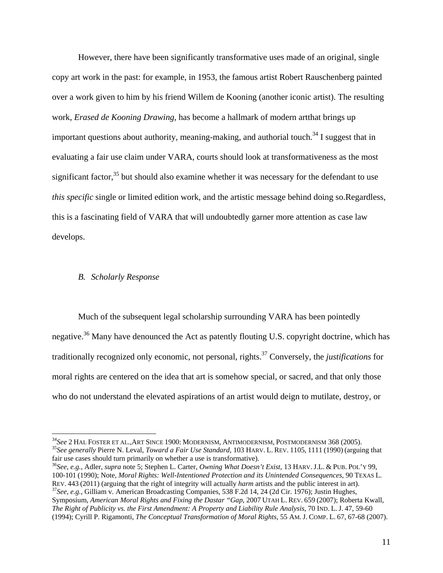However, there have been significantly transformative uses made of an original, single copy art work in the past: for example, in 1953, the famous artist Robert Rauschenberg painted over a work given to him by his friend Willem de Kooning (another iconic artist). The resulting work, *Erased de Kooning Drawing*, has become a hallmark of modern artthat brings up important questions about authority, meaning-making, and authorial touch.<sup>34</sup> I suggest that in evaluating a fair use claim under VARA, courts should look at transformativeness as the most significant factor, $35$  but should also examine whether it was necessary for the defendant to use *this specific* single or limited edition work, and the artistic message behind doing so.Regardless, this is a fascinating field of VARA that will undoubtedly garner more attention as case law develops.

#### *B. Scholarly Response*

 

Much of the subsequent legal scholarship surrounding VARA has been pointedly negative.<sup>36</sup> Many have denounced the Act as patently flouting U.S. copyright doctrine, which has traditionally recognized only economic, not personal, rights.37 Conversely, the *justifications* for moral rights are centered on the idea that art is somehow special, or sacred, and that only those who do not understand the elevated aspirations of an artist would deign to mutilate, destroy, or

<sup>&</sup>lt;sup>34</sup>See 2 HAL FOSTER ET AL., ART SINCE 1900: MODERNISM, ANTIMODERNISM, POSTMODERNISM 368 (2005).<br><sup>35</sup>See generally Pierre N. Leval, *Toward a Fair Use Standard*, 103 HARV. L. REV. 1105, 1111 (1990) (arguing that fair use cases should turn primarily on whether a use is transformative). 36*See, e.g.*, Adler, *supra* note 5; Stephen L. Carter, *Owning What Doesn't Exist*, 13 HARV. J.L. & PUB. POL'Y 99,

<sup>100-101</sup> (1990); Note, *Moral Rights: Well-Intentioned Protection and its Unintended Consequences*, 90 TEXAS L. REV. 443 (2011) (arguing that the right of integrity will actually *harm* artists and the public interest in art).<br><sup>37</sup>See, e.g., Gilliam v. American Broadcasting Companies, 538 F.2d 14, 24 (2d Cir. 1976); Justin Hughes,

Symposium, *American Moral Rights and Fixing the Dastar "Gap*, 2007 UTAH L. REV. 659 (2007); Roberta Kwall, *The Right of Publicity vs. the First Amendment: A Property and Liability Rule Analysis*, 70 IND. L. J. 47, 59-60 (1994); Cyrill P. Rigamonti, *The Conceptual Transformation of Moral Rights*, 55 AM. J. COMP. L. 67, 67-68 (2007).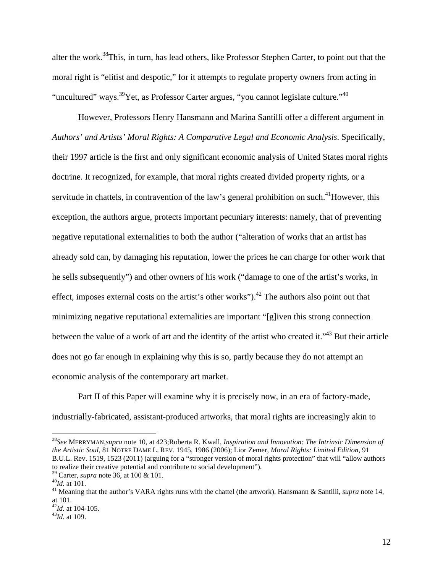alter the work.38This, in turn, has lead others, like Professor Stephen Carter, to point out that the moral right is "elitist and despotic," for it attempts to regulate property owners from acting in "uncultured" ways.  $39$ Yet, as Professor Carter argues, "you cannot legislate culture."  $40$ 

However, Professors Henry Hansmann and Marina Santilli offer a different argument in *Authors' and Artists' Moral Rights: A Comparative Legal and Economic Analysis*. Specifically, their 1997 article is the first and only significant economic analysis of United States moral rights doctrine. It recognized, for example, that moral rights created divided property rights, or a servitude in chattels, in contravention of the law's general prohibition on such.<sup>41</sup>However, this exception, the authors argue, protects important pecuniary interests: namely, that of preventing negative reputational externalities to both the author ("alteration of works that an artist has already sold can, by damaging his reputation, lower the prices he can charge for other work that he sells subsequently") and other owners of his work ("damage to one of the artist's works, in effect, imposes external costs on the artist's other works").<sup>42</sup> The authors also point out that minimizing negative reputational externalities are important "[g]iven this strong connection between the value of a work of art and the identity of the artist who created it."43 But their article does not go far enough in explaining why this is so, partly because they do not attempt an economic analysis of the contemporary art market.

Part II of this Paper will examine why it is precisely now, in an era of factory-made, industrially-fabricated, assistant-produced artworks, that moral rights are increasingly akin to

<sup>38</sup>*See* MERRYMAN,*supra* note 10, at 423;Roberta R. Kwall, *Inspiration and Innovation: The Intrinsic Dimension of the Artistic Soul*, 81 NOTRE DAME L. REV. 1945, 1986 (2006); Lior Zemer, *Moral Rights: Limited Edition*, 91 B.U.L. Rev. 1519, 1523 (2011) (arguing for a "stronger version of moral rights protection" that will "allow authors to realize their creative potential and contribute to social development"). <sup>39</sup> Carter, *supra* note 36, at 100 & 101.

<sup>&</sup>lt;sup>40</sup>*Id.* at 101.<br><sup>41</sup> Meaning that the author's VARA rights runs with the chattel (the artwork). Hansmann & Santilli, *supra* note 14, at 101.

<sup>42</sup>*Id.* at 104-105. 43*Id.* at 109.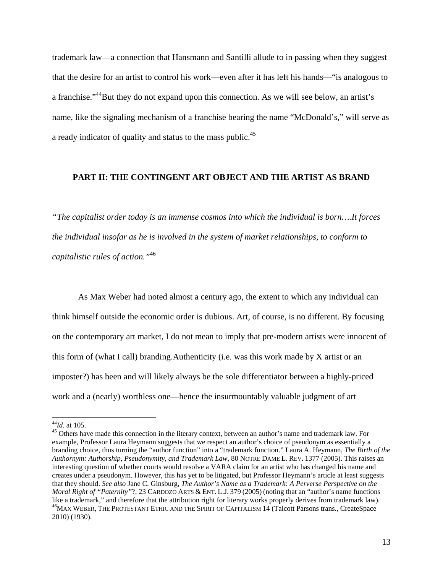trademark law—a connection that Hansmann and Santilli allude to in passing when they suggest that the desire for an artist to control his work—even after it has left his hands—"is analogous to a franchise."<sup>44</sup>But they do not expand upon this connection. As we will see below, an artist's name, like the signaling mechanism of a franchise bearing the name "McDonald's," will serve as a ready indicator of quality and status to the mass public.<sup>45</sup>

# **PART II: THE CONTINGENT ART OBJECT AND THE ARTIST AS BRAND**

*"The capitalist order today is an immense cosmos into which the individual is born….It forces the individual insofar as he is involved in the system of market relationships, to conform to capitalistic rules of action."*<sup>46</sup>

 As Max Weber had noted almost a century ago, the extent to which any individual can think himself outside the economic order is dubious. Art, of course, is no different. By focusing on the contemporary art market, I do not mean to imply that pre-modern artists were innocent of this form of (what I call) branding.Authenticity (i.e. was this work made by X artist or an imposter?) has been and will likely always be the sole differentiator between a highly-priced work and a (nearly) worthless one—hence the insurmountably valuable judgment of art

<sup>&</sup>lt;sup>44</sup>*Id.* at 105.<br><sup>45</sup> Others have made this connection in the literary context, between an author's name and trademark law. For example, Professor Laura Heymann suggests that we respect an author's choice of pseudonym as essentially a branding choice, thus turning the "author function" into a "trademark function." Laura A. Heymann, *The Birth of the Authornym: Authorship, Pseudonymity, and Trademark Law*, 80 NOTRE DAME L. REV. 1377 (2005). This raises an interesting question of whether courts would resolve a VARA claim for an artist who has changed his name and creates under a pseudonym. However, this has yet to be litigated, but Professor Heymann's article at least suggests that they should. *See also* Jane C. Ginsburg, *The Author's Name as a Trademark: A Perverse Perspective on the Moral Right of "Paternity"*?, 23 CARDOZO ARTS & ENT. L.J. 379 (2005) (noting that an "author's name functions like a trademark," and therefore that the attribution right for literary works properly derives from trademark law). <sup>46</sup>MAX WEBER, THE PROTESTANT ETHIC AND THE SPIRIT OF CAPITALISM 14 (Talcott Parsons trans., CreateSpace 2010) (1930).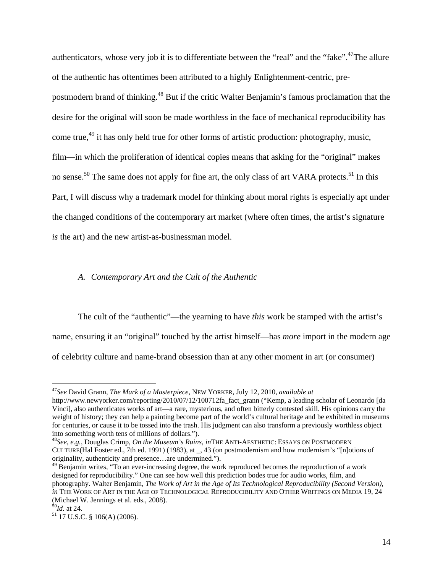authenticators, whose very job it is to differentiate between the "real" and the "fake".<sup>47</sup>The allure of the authentic has oftentimes been attributed to a highly Enlightenment-centric, prepostmodern brand of thinking.<sup>48</sup> But if the critic Walter Benjamin's famous proclamation that the desire for the original will soon be made worthless in the face of mechanical reproducibility has come true,<sup>49</sup> it has only held true for other forms of artistic production: photography, music, film—in which the proliferation of identical copies means that asking for the "original" makes no sense.<sup>50</sup> The same does not apply for fine art, the only class of art VARA protects.<sup>51</sup> In this Part, I will discuss why a trademark model for thinking about moral rights is especially apt under the changed conditions of the contemporary art market (where often times, the artist's signature *is* the art) and the new artist-as-businessman model.

## *A. Contemporary Art and the Cult of the Authentic*

 The cult of the "authentic"—the yearning to have *this* work be stamped with the artist's name, ensuring it an "original" touched by the artist himself—has *more* import in the modern age of celebrity culture and name-brand obsession than at any other moment in art (or consumer)

<sup>47</sup>*See* David Grann, *The Mark of a Masterpiece*, NEW YORKER, July 12, 2010, *available at* 

http://www.newyorker.com/reporting/2010/07/12/100712fa\_fact\_grann ("Kemp, a leading scholar of Leonardo [da Vinci], also authenticates works of art—a rare, mysterious, and often bitterly contested skill. His opinions carry the weight of history; they can help a painting become part of the world's cultural heritage and be exhibited in museums for centuries, or cause it to be tossed into the trash. His judgment can also transform a previously worthless object into something worth tens of millions of dollars.").

<sup>48</sup>*See, e.g.*, Douglas Crimp, *On the Museum's Ruins*, *in*THE ANTI-AESTHETIC: ESSAYS ON POSTMODERN CULTURE(Hal Foster ed., 7th ed. 1991) (1983), at \_, 43 (on postmodernism and how modernism's "[n]otions of originality, authenticity and presence…are undermined.").

 $49$  Benjamin writes, "To an ever-increasing degree, the work reproduced becomes the reproduction of a work designed for reproducibility." One can see how well this prediction bodes true for audio works, film, and photography. Walter Benjamin, *The Work of Art in the Age of Its Technological Reproducibility (Second Version)*, *in* THE WORK OF ART IN THE AGE OF TECHNOLOGICAL REPRODUCIBILITY AND OTHER WRITINGS ON MEDIA 19, 24 (Michael W. Jennings et al. eds., 2008).<br> $^{50}$ *Id.* at 24.

<sup>&</sup>lt;sup>51</sup> 17 U.S.C. § 106(A) (2006).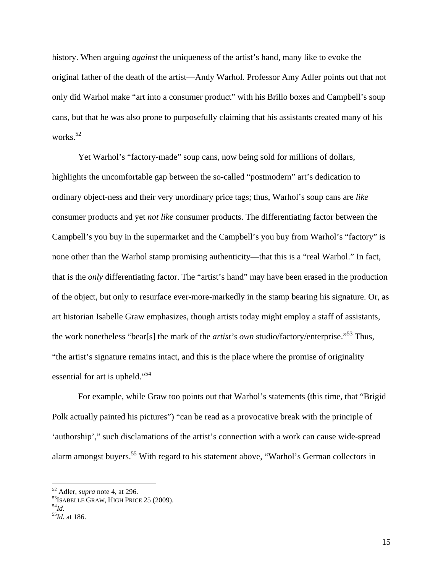history. When arguing *against* the uniqueness of the artist's hand, many like to evoke the original father of the death of the artist—Andy Warhol. Professor Amy Adler points out that not only did Warhol make "art into a consumer product" with his Brillo boxes and Campbell's soup cans, but that he was also prone to purposefully claiming that his assistants created many of his works.<sup>52</sup>

Yet Warhol's "factory-made" soup cans, now being sold for millions of dollars, highlights the uncomfortable gap between the so-called "postmodern" art's dedication to ordinary object-ness and their very unordinary price tags; thus, Warhol's soup cans are *like*  consumer products and yet *not like* consumer products. The differentiating factor between the Campbell's you buy in the supermarket and the Campbell's you buy from Warhol's "factory" is none other than the Warhol stamp promising authenticity—that this is a "real Warhol." In fact, that is the *only* differentiating factor. The "artist's hand" may have been erased in the production of the object, but only to resurface ever-more-markedly in the stamp bearing his signature. Or, as art historian Isabelle Graw emphasizes, though artists today might employ a staff of assistants, the work nonetheless "bear[s] the mark of the *artist's own* studio/factory/enterprise."53 Thus, "the artist's signature remains intact, and this is the place where the promise of originality essential for art is upheld."<sup>54</sup>

For example, while Graw too points out that Warhol's statements (this time, that "Brigid Polk actually painted his pictures") "can be read as a provocative break with the principle of 'authorship'," such disclamations of the artist's connection with a work can cause wide-spread alarm amongst buyers.<sup>55</sup> With regard to his statement above, "Warhol's German collectors in

 $52$  Adler, *supra* note 4, at 296.

<sup>&</sup>lt;sup>53</sup> ISABELLE GRAW, HIGH PRICE 25 (2009).<br><sup>54</sup>Id.

<sup>55</sup>*Id.* at 186.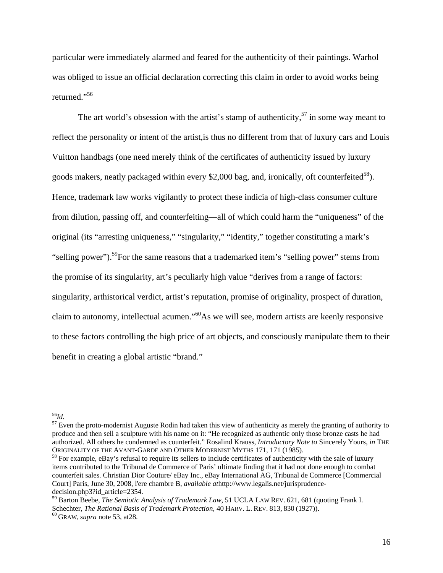particular were immediately alarmed and feared for the authenticity of their paintings. Warhol was obliged to issue an official declaration correcting this claim in order to avoid works being returned."56

The art world's obsession with the artist's stamp of authenticity,<sup>57</sup> in some way meant to reflect the personality or intent of the artist,is thus no different from that of luxury cars and Louis Vuitton handbags (one need merely think of the certificates of authenticity issued by luxury goods makers, neatly packaged within every \$2,000 bag, and, ironically, oft counterfeited<sup>58</sup>). Hence, trademark law works vigilantly to protect these indicia of high-class consumer culture from dilution, passing off, and counterfeiting—all of which could harm the "uniqueness" of the original (its "arresting uniqueness," "singularity," "identity," together constituting a mark's "selling power").<sup>59</sup>For the same reasons that a trademarked item's "selling power" stems from the promise of its singularity, art's peculiarly high value "derives from a range of factors: singularity, arthistorical verdict, artist's reputation, promise of originality, prospect of duration, claim to autonomy, intellectual acumen."60As we will see, modern artists are keenly responsive to these factors controlling the high price of art objects, and consciously manipulate them to their benefit in creating a global artistic "brand."

 

 $57$  Even the proto-modernist Auguste Rodin had taken this view of authenticity as merely the granting of authority to produce and then sell a sculpture with his name on it: "He recognized as authentic only those bronze casts he had authorized. All others he condemned as counterfeit." Rosalind Krauss, *Introductory Note to* Sincerely Yours, *in* THE

 $<sup>58</sup>$  For example, eBay's refusal to require its sellers to include certificates of authenticity with the sale of luxury</sup> items contributed to the Tribunal de Commerce of Paris' ultimate finding that it had not done enough to combat counterfeit sales. Christian Dior Couture/ eBay Inc., eBay International AG, Tribunal de Commerce [Commercial Court] Paris, June 30, 2008, l'ere chambre B, *available at*http://www.legalis.net/jurisprudencedecision.php3?id\_article=2354.

<sup>56</sup>*Id.* 

<sup>59</sup> Barton Beebe, *The Semiotic Analysis of Trademark Law*, 51 UCLA LAW REV. 621, 681 (quoting Frank I. Schechter, *The Rational Basis of Trademark Protection*, 40 HARV. L. REV. 813, 830 (1927)).<br><sup>60</sup> GRAW, *supra* note 53, at28.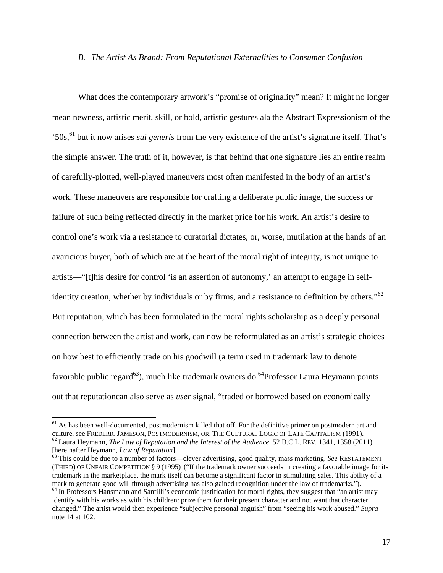## *B. The Artist As Brand: From Reputational Externalities to Consumer Confusion*

What does the contemporary artwork's "promise of originality" mean? It might no longer mean newness, artistic merit, skill, or bold, artistic gestures ala the Abstract Expressionism of the '50s,61 but it now arises *sui generis* from the very existence of the artist's signature itself. That's the simple answer. The truth of it, however, is that behind that one signature lies an entire realm of carefully-plotted, well-played maneuvers most often manifested in the body of an artist's work. These maneuvers are responsible for crafting a deliberate public image, the success or failure of such being reflected directly in the market price for his work. An artist's desire to control one's work via a resistance to curatorial dictates, or, worse, mutilation at the hands of an avaricious buyer, both of which are at the heart of the moral right of integrity, is not unique to artists—"[t]his desire for control 'is an assertion of autonomy,' an attempt to engage in selfidentity creation, whether by individuals or by firms, and a resistance to definition by others." $62$ But reputation, which has been formulated in the moral rights scholarship as a deeply personal connection between the artist and work, can now be reformulated as an artist's strategic choices on how best to efficiently trade on his goodwill (a term used in trademark law to denote favorable public regard<sup>63</sup>), much like trademark owners do.<sup>64</sup>Professor Laura Heymann points out that reputationcan also serve as *user* signal, "traded or borrowed based on economically

 $61$  As has been well-documented, postmodernism killed that off. For the definitive primer on postmodern art and culture, see FREDERIC JAMESON, POSTMODERNISM, OR, THE CULTURAL LOGIC OF LATE CAPITALISM (1991). <sup>62</sup> Laura Heymann, *The Law of Reputation and the Interest of the Audience*, 52 B.C.L. REV. 1341, 1358 (2011) [hereinafter Heymann, *Law of Reputation*].

<sup>[</sup>hereinafter Heymann, *Law of Reputation*]. 63 This could be due to a number of factors—clever advertising, good quality, mass marketing. *See* RESTATEMENT (THIRD) OF UNFAIR COMPETITION § 9 (1995) ("If the trademark owner succeeds in creating a favorable image for its trademark in the marketplace, the mark itself can become a significant factor in stimulating sales. This ability of a mark to generate good will through advertising has also gained recognition under the law of trademarks."). 64 In Professors Hansmann and Santilli's economic justification for moral rights, they suggest that "an artist may

identify with his works as with his children: prize them for their present character and not want that character changed." The artist would then experience "subjective personal anguish" from "seeing his work abused." *Supra*  note 14 at 102.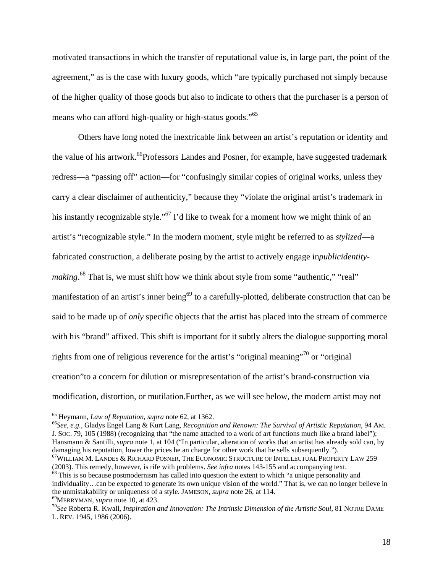motivated transactions in which the transfer of reputational value is, in large part, the point of the agreement," as is the case with luxury goods, which "are typically purchased not simply because of the higher quality of those goods but also to indicate to others that the purchaser is a person of means who can afford high-quality or high-status goods."<sup>65</sup>

Others have long noted the inextricable link between an artist's reputation or identity and the value of his artwork.<sup>66</sup>Professors Landes and Posner, for example, have suggested trademark redress—a "passing off" action—for "confusingly similar copies of original works, unless they carry a clear disclaimer of authenticity," because they "violate the original artist's trademark in his instantly recognizable style."<sup>67</sup> I'd like to tweak for a moment how we might think of an artist's "recognizable style." In the modern moment, style might be referred to as *stylized*—a fabricated construction, a deliberate posing by the artist to actively engage in*publicidentity*making.<sup>68</sup> That is, we must shift how we think about style from some "authentic," "real" manifestation of an artist's inner being<sup>69</sup> to a carefully-plotted, deliberate construction that can be said to be made up of *only* specific objects that the artist has placed into the stream of commerce with his "brand" affixed. This shift is important for it subtly alters the dialogue supporting moral rights from one of religious reverence for the artist's "original meaning"70 or "original creation"to a concern for dilution or misrepresentation of the artist's brand-construction via modification, distortion, or mutilation.Further, as we will see below, the modern artist may not

 

65 Heymann, *Law of Reputation*, *supra* note 62, at 1362. 66*See, e.g.*, Gladys Engel Lang & Kurt Lang, *Recognition and Renown: The Survival of Artistic Reputation*, 94 AM. J. SOC. 79, 105 (1988) (recognizing that "the name attached to a work of art functions much like a brand label"); Hansmann & Santilli, *supra* note 1, at 104 ("In particular, alteration of works that an artist has already sold can, by damaging his reputation, lower the prices he an charge for other work that he sells subsequently.").

<sup>67</sup>WILLIAM M. LANDES & RICHARD POSNER, THE ECONOMIC STRUCTURE OF INTELLECTUAL PROPERTY LAW 259 (2003). This remedy, however, is rife with problems. See infra notes 143-155 and accompanying text. <sup>68</sup> This is so because postmodernism has called into question the extent to which "a unique personality and individuality…can be expected to generate its own unique vision of the world." That is, we can no longer believe in the unmistakability or uniqueness of a style. JAMESON, *supra* note 26, at 114.<br><sup>69</sup>MERRYMAN, *supra* note 10, at 423.<br><sup>70</sup>See Roberta R. Kwall, *Inspiration and Innovation: The Intrinsic Dimension of the Artistic Soul*,

L. REV. 1945, 1986 (2006).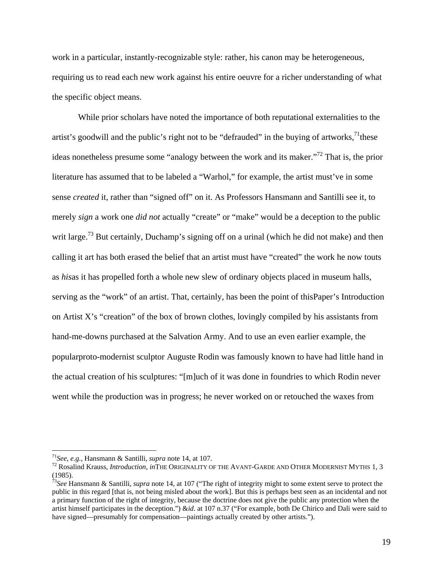work in a particular, instantly-recognizable style: rather, his canon may be heterogeneous, requiring us to read each new work against his entire oeuvre for a richer understanding of what the specific object means.

While prior scholars have noted the importance of both reputational externalities to the artist's goodwill and the public's right not to be "defrauded" in the buying of artworks,  $\frac{1}{1}$  these ideas nonetheless presume some "analogy between the work and its maker."72 That is, the prior literature has assumed that to be labeled a "Warhol," for example, the artist must've in some sense *created* it, rather than "signed off" on it. As Professors Hansmann and Santilli see it, to merely *sign* a work one *did not* actually "create" or "make" would be a deception to the public writ large.<sup>73</sup> But certainly, Duchamp's signing off on a urinal (which he did not make) and then calling it art has both erased the belief that an artist must have "created" the work he now touts as *his*as it has propelled forth a whole new slew of ordinary objects placed in museum halls, serving as the "work" of an artist. That, certainly, has been the point of thisPaper's Introduction on Artist X's "creation" of the box of brown clothes, lovingly compiled by his assistants from hand-me-downs purchased at the Salvation Army. And to use an even earlier example, the popularproto-modernist sculptor Auguste Rodin was famously known to have had little hand in the actual creation of his sculptures: "[m]uch of it was done in foundries to which Rodin never went while the production was in progress; he never worked on or retouched the waxes from

<sup>&</sup>lt;sup>71</sup>See, e.g., Hansmann & Santilli, *supra* note 14, at 107.<br><sup>72</sup> Rosalind Krauss, *Introduction*, *in*THE ORIGINALITY OF THE AVANT-GARDE AND OTHER MODERNIST MYTHS 1, 3 (1985).

<sup>73</sup>*See* Hansmann & Santilli, *supra* note 14, at 107 ("The right of integrity might to some extent serve to protect the public in this regard [that is, not being misled about the work]. But this is perhaps best seen as an incidental and not a primary function of the right of integrity, because the doctrine does not give the public any protection when the artist himself participates in the deception.") &*id.* at 107 n.37 ("For example, both De Chirico and Dali were said to have signed—presumably for compensation—paintings actually created by other artists.").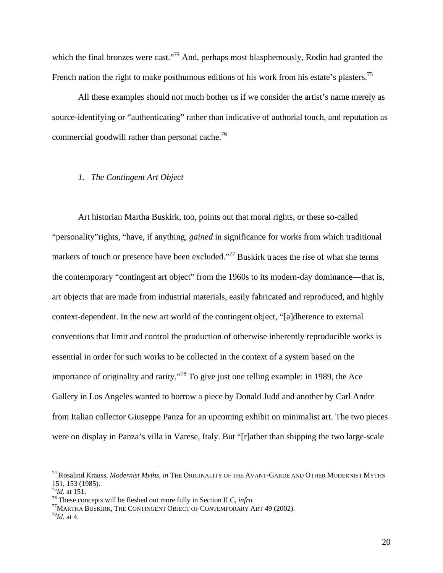which the final bronzes were cast."<sup>74</sup> And, perhaps most blasphemously, Rodin had granted the French nation the right to make posthumous editions of his work from his estate's plasters.<sup>75</sup>

All these examples should not much bother us if we consider the artist's name merely as source-identifying or "authenticating" rather than indicative of authorial touch, and reputation as commercial goodwill rather than personal cache.<sup>76</sup>

## *1. The Contingent Art Object*

Art historian Martha Buskirk, too, points out that moral rights, or these so-called "personality"rights, "have, if anything, *gained* in significance for works from which traditional markers of touch or presence have been excluded."<sup>77</sup> Buskirk traces the rise of what she terms the contemporary "contingent art object" from the 1960s to its modern-day dominance—that is, art objects that are made from industrial materials, easily fabricated and reproduced, and highly context-dependent. In the new art world of the contingent object, "[a]dherence to external conventions that limit and control the production of otherwise inherently reproducible works is essential in order for such works to be collected in the context of a system based on the importance of originality and rarity."78 To give just one telling example: in 1989, the Ace Gallery in Los Angeles wanted to borrow a piece by Donald Judd and another by Carl Andre from Italian collector Giuseppe Panza for an upcoming exhibit on minimalist art. The two pieces were on display in Panza's villa in Varese, Italy. But "[r]ather than shipping the two large-scale

 

<sup>76</sup> These concepts will be fleshed out more fully in Section II.C, *infra.* <br><sup>77</sup>MARTHA BUSKIRK, THE CONTINGENT OBJECT OF CONTEMPORARY ART 49 (2002). <sup>78</sup>*Id.* at 4.

<sup>74</sup> Rosalind Krauss, *Modernist Myths*, *in* THE ORIGINALITY OF THE AVANT-GARDE AND OTHER MODERNIST MYTHS 151, 153 (1985).<br> $^{75}$ Id. at 151.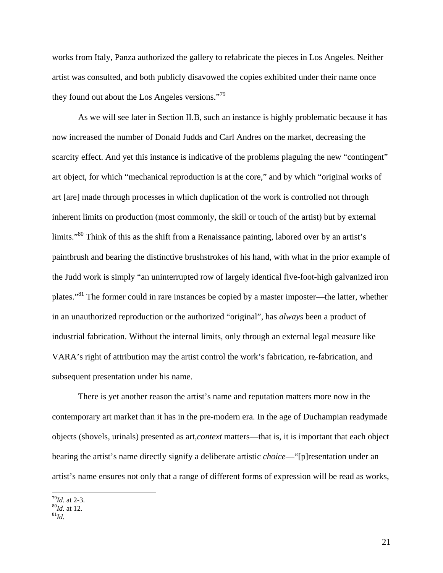works from Italy, Panza authorized the gallery to refabricate the pieces in Los Angeles. Neither artist was consulted, and both publicly disavowed the copies exhibited under their name once they found out about the Los Angeles versions."<sup>79</sup>

 As we will see later in Section II.B, such an instance is highly problematic because it has now increased the number of Donald Judds and Carl Andres on the market, decreasing the scarcity effect. And yet this instance is indicative of the problems plaguing the new "contingent" art object, for which "mechanical reproduction is at the core," and by which "original works of art [are] made through processes in which duplication of the work is controlled not through inherent limits on production (most commonly, the skill or touch of the artist) but by external limits."<sup>80</sup> Think of this as the shift from a Renaissance painting, labored over by an artist's paintbrush and bearing the distinctive brushstrokes of his hand, with what in the prior example of the Judd work is simply "an uninterrupted row of largely identical five-foot-high galvanized iron plates."81 The former could in rare instances be copied by a master imposter—the latter, whether in an unauthorized reproduction or the authorized "original", has *always* been a product of industrial fabrication. Without the internal limits, only through an external legal measure like VARA's right of attribution may the artist control the work's fabrication, re-fabrication, and subsequent presentation under his name.

 There is yet another reason the artist's name and reputation matters more now in the contemporary art market than it has in the pre-modern era. In the age of Duchampian readymade objects (shovels, urinals) presented as art,*context* matters—that is, it is important that each object bearing the artist's name directly signify a deliberate artistic *choice*—"[p]resentation under an artist's name ensures not only that a range of different forms of expression will be read as works,

<sup>&</sup>lt;sup>79</sup>*Id.* at 2-3.<br><sup>80</sup>*Id.* at 12.<br><sup>81</sup>*Id.*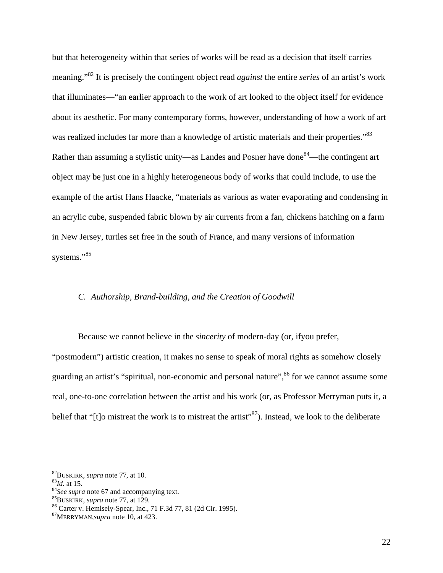but that heterogeneity within that series of works will be read as a decision that itself carries meaning."82 It is precisely the contingent object read *against* the entire *series* of an artist's work that illuminates—"an earlier approach to the work of art looked to the object itself for evidence about its aesthetic. For many contemporary forms, however, understanding of how a work of art was realized includes far more than a knowledge of artistic materials and their properties.<sup>83</sup> Rather than assuming a stylistic unity—as Landes and Posner have done<sup>84</sup>—the contingent art object may be just one in a highly heterogeneous body of works that could include, to use the example of the artist Hans Haacke, "materials as various as water evaporating and condensing in an acrylic cube, suspended fabric blown by air currents from a fan, chickens hatching on a farm in New Jersey, turtles set free in the south of France, and many versions of information systems."<sup>85</sup>

## *C. Authorship, Brand-building, and the Creation of Goodwill*

Because we cannot believe in the *sincerity* of modern-day (or, ifyou prefer,

"postmodern") artistic creation, it makes no sense to speak of moral rights as somehow closely guarding an artist's "spiritual, non-economic and personal nature",<sup>86</sup> for we cannot assume some real, one-to-one correlation between the artist and his work (or, as Professor Merryman puts it, a belief that "[t]o mistreat the work is to mistreat the artist"<sup>87</sup>). Instead, we look to the deliberate

<sup>&</sup>lt;sup>82</sup>BUSKIRK, *supra* note 77, at 10.<br><sup>83</sup>*Id.* at 15.<br><sup>84</sup>*See supra* note 67 and accompanying text. <sup>85</sup>BUSKIRK, *supra* note 77, at 129.<br><sup>86</sup> Carter v. Hemlsely-Spear, Inc., 71 F.3d 77, 81 (2d Cir. 1995).

<sup>87</sup>MERRYMAN,*supra* note 10, at 423.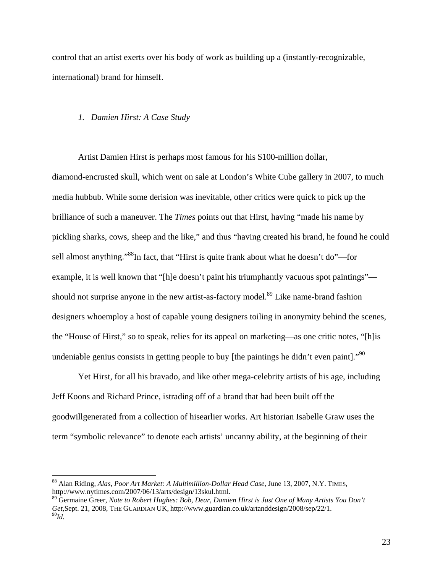control that an artist exerts over his body of work as building up a (instantly-recognizable, international) brand for himself.

#### *1. Damien Hirst: A Case Study*

Artist Damien Hirst is perhaps most famous for his \$100-million dollar,

diamond-encrusted skull, which went on sale at London's White Cube gallery in 2007, to much media hubbub. While some derision was inevitable, other critics were quick to pick up the brilliance of such a maneuver. The *Times* points out that Hirst, having "made his name by pickling sharks, cows, sheep and the like," and thus "having created his brand, he found he could sell almost anything."88In fact, that "Hirst is quite frank about what he doesn't do"—for example, it is well known that "[h]e doesn't paint his triumphantly vacuous spot paintings" should not surprise anyone in the new artist-as-factory model.<sup>89</sup> Like name-brand fashion designers whoemploy a host of capable young designers toiling in anonymity behind the scenes, the "House of Hirst," so to speak, relies for its appeal on marketing—as one critic notes, "[h]is undeniable genius consists in getting people to buy [the paintings he didn't even paint]."<sup>90</sup>

Yet Hirst, for all his bravado, and like other mega-celebrity artists of his age, including Jeff Koons and Richard Prince, istrading off of a brand that had been built off the goodwillgenerated from a collection of hisearlier works. Art historian Isabelle Graw uses the term "symbolic relevance" to denote each artists' uncanny ability, at the beginning of their

<sup>88</sup> Alan Riding, *Alas, Poor Art Market: A Multimillion-Dollar Head Case*, June 13, 2007, N.Y. TIMES, http://www.nytimes.com/2007/06/13/arts/design/13skul.html.

<sup>89</sup> Germaine Greer, *Note to Robert Hughes: Bob, Dear, Damien Hirst is Just One of Many Artists You Don't Get*,Sept. 21, 2008, THE GUARDIAN UK, http://www.guardian.co.uk/artanddesign/2008/sep/22/1. <sup>90</sup>*Id.*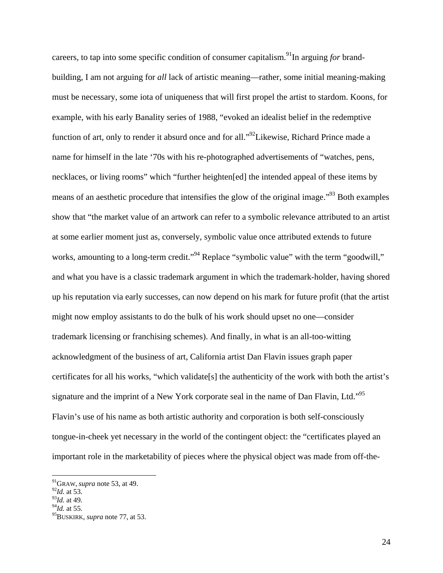careers, to tap into some specific condition of consumer capitalism.91In arguing *for* brandbuilding, I am not arguing for *all* lack of artistic meaning—rather, some initial meaning-making must be necessary, some iota of uniqueness that will first propel the artist to stardom. Koons, for example, with his early Banality series of 1988, "evoked an idealist belief in the redemptive function of art, only to render it absurd once and for all."<sup>92</sup>Likewise, Richard Prince made a name for himself in the late '70s with his re-photographed advertisements of "watches, pens, necklaces, or living rooms" which "further heighten[ed] the intended appeal of these items by means of an aesthetic procedure that intensifies the glow of the original image.<sup>"93</sup> Both examples show that "the market value of an artwork can refer to a symbolic relevance attributed to an artist at some earlier moment just as, conversely, symbolic value once attributed extends to future works, amounting to a long-term credit."<sup>94</sup> Replace "symbolic value" with the term "goodwill," and what you have is a classic trademark argument in which the trademark-holder, having shored up his reputation via early successes, can now depend on his mark for future profit (that the artist might now employ assistants to do the bulk of his work should upset no one—consider trademark licensing or franchising schemes). And finally, in what is an all-too-witting acknowledgment of the business of art, California artist Dan Flavin issues graph paper certificates for all his works, "which validate[s] the authenticity of the work with both the artist's signature and the imprint of a New York corporate seal in the name of Dan Flavin, Ltd."<sup>95</sup> Flavin's use of his name as both artistic authority and corporation is both self-consciously tongue-in-cheek yet necessary in the world of the contingent object: the "certificates played an important role in the marketability of pieces where the physical object was made from off-the-

<sup>91</sup>GRAW, *supra* note 53, at 49.

<sup>92</sup>*Id.* at 53.

<sup>93</sup>*Id.* at 49.

<sup>94</sup>*Id.* at 55.

<sup>95</sup>BUSKIRK, *supra* note 77, at 53.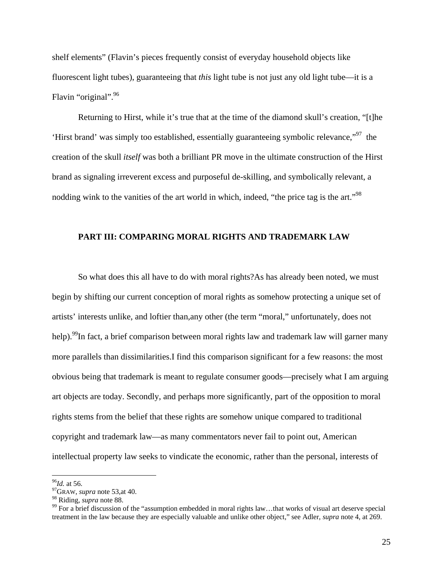shelf elements" (Flavin's pieces frequently consist of everyday household objects like fluorescent light tubes), guaranteeing that *this* light tube is not just any old light tube—it is a Flavin "original".96

Returning to Hirst, while it's true that at the time of the diamond skull's creation, "[t]he 'Hirst brand' was simply too established, essentially guaranteeing symbolic relevance,"97 the creation of the skull *itself* was both a brilliant PR move in the ultimate construction of the Hirst brand as signaling irreverent excess and purposeful de-skilling, and symbolically relevant, a nodding wink to the vanities of the art world in which, indeed, "the price tag is the art."<sup>98</sup>

# **PART III: COMPARING MORAL RIGHTS AND TRADEMARK LAW**

 So what does this all have to do with moral rights?As has already been noted, we must begin by shifting our current conception of moral rights as somehow protecting a unique set of artists' interests unlike, and loftier than,any other (the term "moral," unfortunately, does not help).<sup>99</sup>In fact, a brief comparison between moral rights law and trademark law will garner many more parallels than dissimilarities.I find this comparison significant for a few reasons: the most obvious being that trademark is meant to regulate consumer goods—precisely what I am arguing art objects are today. Secondly, and perhaps more significantly, part of the opposition to moral rights stems from the belief that these rights are somehow unique compared to traditional copyright and trademark law—as many commentators never fail to point out, American intellectual property law seeks to vindicate the economic, rather than the personal, interests of

<sup>&</sup>lt;sup>96</sup>*Id.* at 56.<br><sup>97</sup>GRAW, *supra* note 53,at 40.<br><sup>98</sup> Riding, *supra* note 88.

<sup>&</sup>lt;sup>99</sup> For a brief discussion of the "assumption embedded in moral rights law...that works of visual art deserve special treatment in the law because they are especially valuable and unlike other object," see Adler, *supra* note 4, at 269.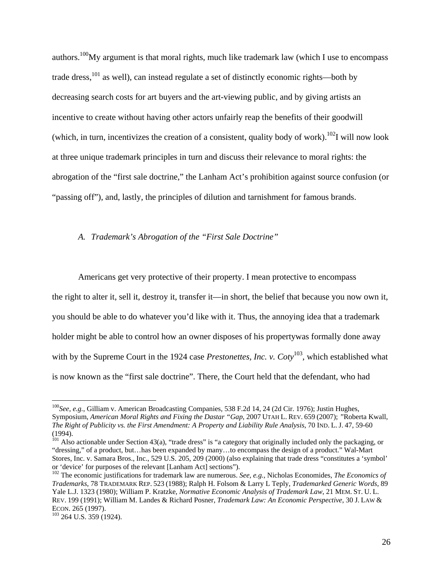authors.<sup>100</sup>My argument is that moral rights, much like trademark law (which I use to encompass trade dress,<sup>101</sup> as well), can instead regulate a set of distinctly economic rights—both by decreasing search costs for art buyers and the art-viewing public, and by giving artists an incentive to create without having other actors unfairly reap the benefits of their goodwill (which, in turn, incentivizes the creation of a consistent, quality body of work).<sup>102</sup>I will now look at three unique trademark principles in turn and discuss their relevance to moral rights: the abrogation of the "first sale doctrine," the Lanham Act's prohibition against source confusion (or "passing off"), and, lastly, the principles of dilution and tarnishment for famous brands.

## *A. Trademark's Abrogation of the "First Sale Doctrine"*

Americans get very protective of their property. I mean protective to encompass the right to alter it, sell it, destroy it, transfer it—in short, the belief that because you now own it, you should be able to do whatever you'd like with it. Thus, the annoying idea that a trademark holder might be able to control how an owner disposes of his propertywas formally done away with by the Supreme Court in the 1924 case *Prestonettes, Inc. v. Coty*<sup>103</sup>, which established what is now known as the "first sale doctrine". There, the Court held that the defendant, who had

<sup>100</sup>*See, e.g.*, Gilliam v. American Broadcasting Companies, 538 F.2d 14, 24 (2d Cir. 1976); Justin Hughes, Symposium, *American Moral Rights and Fixing the Dastar "Gap*, 2007 UTAH L. REV. 659 (2007); *"*Roberta Kwall, *The Right of Publicity vs. the First Amendment: A Property and Liability Rule Analysis*, 70 IND. L. J. 47, 59-60  $(1994)$ .

 $101$  Also actionable under Section 43(a), "trade dress" is "a category that originally included only the packaging, or "dressing," of a product, but…has been expanded by many…to encompass the design of a product." Wal-Mart Stores, Inc. v. Samara Bros., Inc., 529 U.S. 205, 209 (2000) (also explaining that trade dress "constitutes a 'symbol' or 'device' for purposes of the relevant [Lanham Act] sections").

<sup>102</sup> The economic justifications for trademark law are numerous. *See, e.g.*, Nicholas Economides, *The Economics of Trademarks*, 78 TRADEMARK REP. 523 (1988); Ralph H. Folsom & Larry L Teply, *Trademarked Generic Words*, 89 Yale L.J. 1323 (1980); William P. Kratzke, *Normative Economic Analysis of Trademark Law*, 21 MEM. ST. U. L. REV. 199 (1991); William M. Landes & Richard Posner, *Trademark Law: An Economic Perspective*, 30 J. LAW & ECON. 265 (1997).<br><sup>103</sup> 264 U.S. 359 (1924).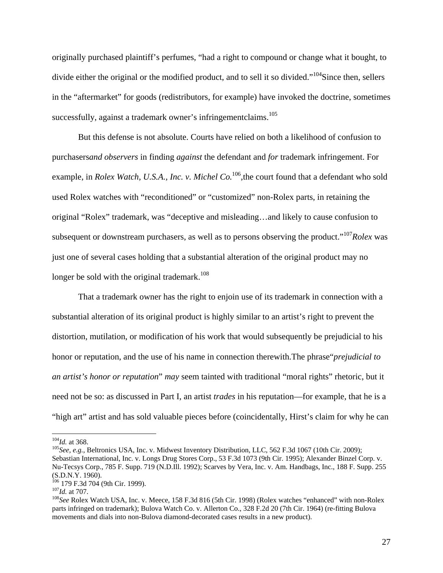originally purchased plaintiff's perfumes, "had a right to compound or change what it bought, to divide either the original or the modified product, and to sell it so divided."<sup>104</sup>Since then, sellers in the "aftermarket" for goods (redistributors, for example) have invoked the doctrine, sometimes successfully, against a trademark owner's infringementclaims.<sup>105</sup>

 But this defense is not absolute. Courts have relied on both a likelihood of confusion to purchasers*and observers* in finding *against* the defendant and *for* trademark infringement. For example, in *Rolex Watch, U.S.A., Inc. v. Michel Co.*<sup>106</sup>, the court found that a defendant who sold used Rolex watches with "reconditioned" or "customized" non-Rolex parts, in retaining the original "Rolex" trademark, was "deceptive and misleading…and likely to cause confusion to subsequent or downstream purchasers, as well as to persons observing the product."107*Rolex* was just one of several cases holding that a substantial alteration of the original product may no longer be sold with the original trademark.<sup>108</sup>

 That a trademark owner has the right to enjoin use of its trademark in connection with a substantial alteration of its original product is highly similar to an artist's right to prevent the distortion, mutilation, or modification of his work that would subsequently be prejudicial to his honor or reputation, and the use of his name in connection therewith.The phrase"*prejudicial to an artist's honor or reputation*" *may* seem tainted with traditional "moral rights" rhetoric, but it need not be so: as discussed in Part I, an artist *trades* in his reputation—for example, that he is a "high art" artist and has sold valuable pieces before (coincidentally, Hirst's claim for why he can

<sup>&</sup>lt;sup>104</sup>*Id.* at 368.<br><sup>105</sup>*See, e.g.*, Beltronics USA, Inc. v. Midwest Inventory Distribution, LLC, 562 F.3d 1067 (10th Cir. 2009); Sebastian International, Inc. v. Longs Drug Stores Corp., 53 F.3d 1073 (9th Cir. 1995); Alexander Binzel Corp. v. Nu-Tecsys Corp., 785 F. Supp. 719 (N.D.Ill. 1992); Scarves by Vera, Inc. v. Am. Handbags, Inc., 188 F. Supp. 255 (S.D.N.Y. 1960).<br><sup>106</sup> 179 F.3d 704 (9th Cir. 1999).

<sup>&</sup>lt;sup>107</sup>*Id.* at 707.<br><sup>108</sup>*See* Rolex Watch USA, Inc. v. Meece, 158 F.3d 816 (5th Cir. 1998) (Rolex watches "enhanced" with non-Rolex parts infringed on trademark); Bulova Watch Co. v. Allerton Co., 328 F.2d 20 (7th Cir. 1964) (re-fitting Bulova movements and dials into non-Bulova diamond-decorated cases results in a new product).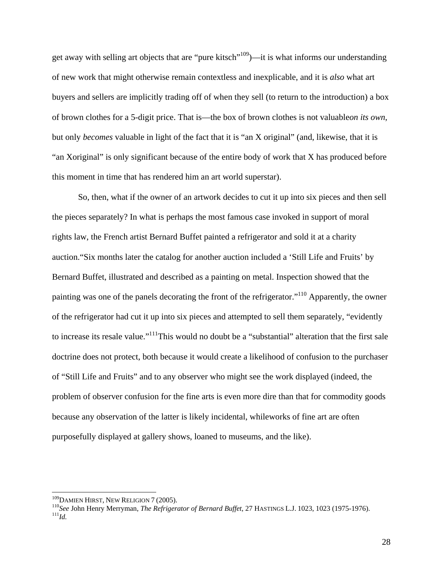get away with selling art objects that are "pure kitsch"109)—it is what informs our understanding of new work that might otherwise remain contextless and inexplicable, and it is *also* what art buyers and sellers are implicitly trading off of when they sell (to return to the introduction) a box of brown clothes for a 5-digit price. That is—the box of brown clothes is not valuable*on its own*, but only *becomes* valuable in light of the fact that it is "an X original" (and, likewise, that it is "an Xoriginal" is only significant because of the entire body of work that X has produced before this moment in time that has rendered him an art world superstar).

 So, then, what if the owner of an artwork decides to cut it up into six pieces and then sell the pieces separately? In what is perhaps the most famous case invoked in support of moral rights law, the French artist Bernard Buffet painted a refrigerator and sold it at a charity auction."Six months later the catalog for another auction included a 'Still Life and Fruits' by Bernard Buffet, illustrated and described as a painting on metal. Inspection showed that the painting was one of the panels decorating the front of the refrigerator."110 Apparently, the owner of the refrigerator had cut it up into six pieces and attempted to sell them separately, "evidently to increase its resale value."111This would no doubt be a "substantial" alteration that the first sale doctrine does not protect, both because it would create a likelihood of confusion to the purchaser of "Still Life and Fruits" and to any observer who might see the work displayed (indeed, the problem of observer confusion for the fine arts is even more dire than that for commodity goods because any observation of the latter is likely incidental, whileworks of fine art are often purposefully displayed at gallery shows, loaned to museums, and the like).

<sup>&</sup>lt;sup>109</sup>DAMIEN HIRST, NEW RELIGION 7 (2005).<br><sup>110</sup>See John Henry Merryman, *The Refrigerator of Bernard Buffet*, 27 HASTINGS L.J. 1023, 1023 (1975-1976).<br><sup>111</sup>Id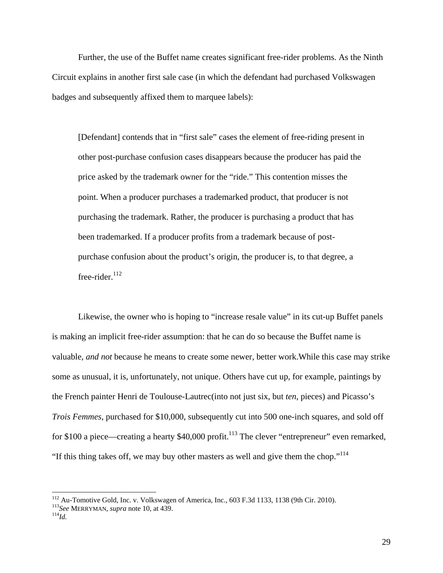Further, the use of the Buffet name creates significant free-rider problems. As the Ninth Circuit explains in another first sale case (in which the defendant had purchased Volkswagen badges and subsequently affixed them to marquee labels):

[Defendant] contends that in "first sale" cases the element of free-riding present in other post-purchase confusion cases disappears because the producer has paid the price asked by the trademark owner for the "ride." This contention misses the point. When a producer purchases a trademarked product, that producer is not purchasing the trademark. Rather, the producer is purchasing a product that has been trademarked. If a producer profits from a trademark because of postpurchase confusion about the product's origin, the producer is, to that degree, a free-rider. $^{112}$ 

 Likewise, the owner who is hoping to "increase resale value" in its cut-up Buffet panels is making an implicit free-rider assumption: that he can do so because the Buffet name is valuable, *and not* because he means to create some newer, better work.While this case may strike some as unusual, it is, unfortunately, not unique. Others have cut up, for example, paintings by the French painter Henri de Toulouse-Lautrec(into not just six, but *ten*, pieces) and Picasso's *Trois Femmes*, purchased for \$10,000, subsequently cut into 500 one-inch squares, and sold off for \$100 a piece—creating a hearty  $$40,000$  profit.<sup>113</sup> The clever "entrepreneur" even remarked, "If this thing takes off, we may buy other masters as well and give them the chop."<sup>114</sup>

<sup>&</sup>lt;sup>112</sup> Au-Tomotive Gold, Inc. v. Volkswagen of America, Inc., 603 F.3d 1133, 1138 (9th Cir. 2010).<br><sup>113</sup>*See* MERRYMAN, *supra* note 10, at 439. <sup>114</sup>*Id.*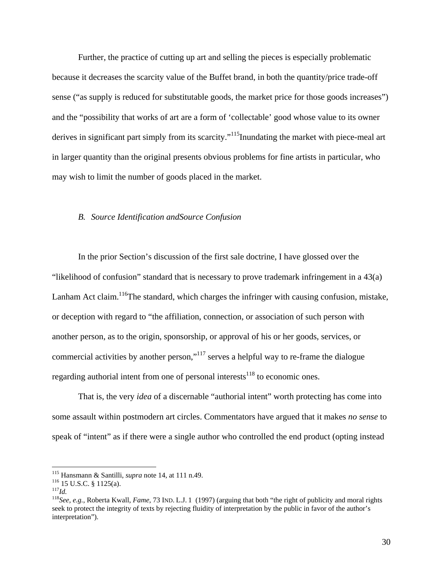Further, the practice of cutting up art and selling the pieces is especially problematic because it decreases the scarcity value of the Buffet brand, in both the quantity/price trade-off sense ("as supply is reduced for substitutable goods, the market price for those goods increases") and the "possibility that works of art are a form of 'collectable' good whose value to its owner derives in significant part simply from its scarcity."<sup>115</sup>Inundating the market with piece-meal art in larger quantity than the original presents obvious problems for fine artists in particular, who may wish to limit the number of goods placed in the market.

# *B. Source Identification andSource Confusion*

In the prior Section's discussion of the first sale doctrine, I have glossed over the "likelihood of confusion" standard that is necessary to prove trademark infringement in a 43(a) Lanham Act claim.<sup>116</sup>The standard, which charges the infringer with causing confusion, mistake, or deception with regard to "the affiliation, connection, or association of such person with another person, as to the origin, sponsorship, or approval of his or her goods, services, or commercial activities by another person,"<sup>117</sup> serves a helpful way to re-frame the dialogue regarding authorial intent from one of personal interests<sup>118</sup> to economic ones.

That is, the very *idea* of a discernable "authorial intent" worth protecting has come into some assault within postmodern art circles. Commentators have argued that it makes *no sense* to speak of "intent" as if there were a single author who controlled the end product (opting instead

<sup>&</sup>lt;sup>115</sup> Hansmann & Santilli, *supra* note 14, at 111 n.49.<br><sup>116</sup> 15 U.S.C. § 1125(a).<br><sup>117</sup>*Id.*<br><sup>118</sup>*See, e.g.*, Roberta Kwall, *Fame*, 73 IND. L.J. 1 (1997) (arguing that both "the right of publicity and moral rights seek to protect the integrity of texts by rejecting fluidity of interpretation by the public in favor of the author's interpretation").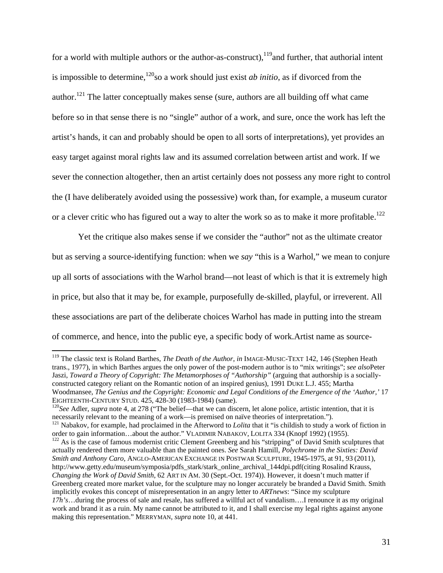for a world with multiple authors or the author-as-construct),  $119$  and further, that authorial intent is impossible to determine,<sup>120</sup>so a work should just exist *ab initio*, as if divorced from the author.<sup>121</sup> The latter conceptually makes sense (sure, authors are all building off what came before so in that sense there is no "single" author of a work, and sure, once the work has left the artist's hands, it can and probably should be open to all sorts of interpretations), yet provides an easy target against moral rights law and its assumed correlation between artist and work. If we sever the connection altogether, then an artist certainly does not possess any more right to control the (I have deliberately avoided using the possessive) work than, for example, a museum curator or a clever critic who has figured out a way to alter the work so as to make it more profitable.<sup>122</sup>

Yet the critique also makes sense if we consider the "author" not as the ultimate creator but as serving a source-identifying function: when we *say* "this is a Warhol," we mean to conjure up all sorts of associations with the Warhol brand—not least of which is that it is extremely high in price, but also that it may be, for example, purposefully de-skilled, playful, or irreverent. All these associations are part of the deliberate choices Warhol has made in putting into the stream of commerce, and hence, into the public eye, a specific body of work.Artist name as source-

<sup>119</sup> The classic text is Roland Barthes, *The Death of the Author*, *in* IMAGE-MUSIC-TEXT 142, 146 (Stephen Heath trans., 1977), in which Barthes argues the only power of the post-modern author is to "mix writings"; *see also*Peter Jaszi, *Toward a Theory of Copyright: The Metamorphoses of "Authorship"* (arguing that authorship is a sociallyconstructed category reliant on the Romantic notion of an inspired genius), 1991 DUKE L.J. 455; Martha Woodmansee, *The Genius and the Copyright: Economic and Legal Conditions of the Emergence of the 'Author,'* 17 EIGHTEENTH-CENTURY STUD. 425, 428-30 (1983-1984) (same).<br><sup>120</sup>*See* Adler, *supra* note 4, at 278 ("The belief—that we can discern, let alone police, artistic intention, that it is

necessarily relevant to the meaning of a work—is premised on naïve theories of interpretation.").

<sup>121</sup> Nabakov, for example, had proclaimed in the Afterword to *Lolita* that it "is childish to study a work of fiction in order to gain information...about the author." VLADIMIR NABAKOV, LOLITA 334 (Knopf 1992) (1955).<br><sup>122</sup> As is the case of famous modernist critic Clement Greenberg and his "stripping" of David Smith sculptures that

actually rendered them more valuable than the painted ones. *See* Sarah Hamill, *Polychrome in the Sixties: David Smith and Anthony Caro*, ANGLO-AMERICAN EXCHANGE IN POSTWAR SCULPTURE, 1945-1975, at 91, 93 (2011), http://www.getty.edu/museum/symposia/pdfs\_stark/stark\_online\_archival\_144dpi.pdf(citing Rosalind Krauss, *Changing the Work of David Smith*, 62 ART IN AM. 30 (Sept.-Oct. 1974)). However, it doesn't much matter if Greenberg created more market value, for the sculpture may no longer accurately be branded a David Smith. Smith implicitly evokes this concept of misrepresentation in an angry letter to *ARTnews*: "Since my sculpture *17h's*…during the process of sale and resale, has suffered a willful act of vandalism….I renounce it as my original work and brand it as a ruin. My name cannot be attributed to it, and I shall exercise my legal rights against anyone making this representation." MERRYMAN, *supra* note 10, at 441.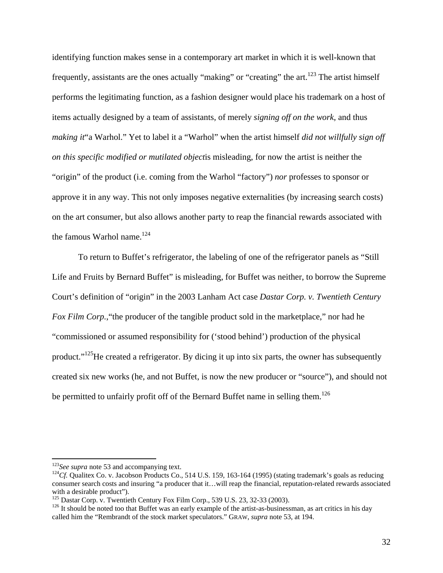identifying function makes sense in a contemporary art market in which it is well-known that frequently, assistants are the ones actually "making" or "creating" the art.<sup>123</sup> The artist himself performs the legitimating function, as a fashion designer would place his trademark on a host of items actually designed by a team of assistants, of merely *signing off on the work*, and thus *making it*"a Warhol." Yet to label it a "Warhol" when the artist himself *did not willfully sign off on this specific modified or mutilated object*is misleading, for now the artist is neither the "origin" of the product (i.e. coming from the Warhol "factory") *nor* professes to sponsor or approve it in any way. This not only imposes negative externalities (by increasing search costs) on the art consumer, but also allows another party to reap the financial rewards associated with the famous Warhol name.<sup>124</sup>

To return to Buffet's refrigerator, the labeling of one of the refrigerator panels as "Still Life and Fruits by Bernard Buffet" is misleading, for Buffet was neither, to borrow the Supreme Court's definition of "origin" in the 2003 Lanham Act case *Dastar Corp. v. Twentieth Century Fox Film Corp.*, "the producer of the tangible product sold in the marketplace," nor had he "commissioned or assumed responsibility for ('stood behind') production of the physical product."125He created a refrigerator. By dicing it up into six parts, the owner has subsequently created six new works (he, and not Buffet, is now the new producer or "source"), and should not be permitted to unfairly profit off of the Bernard Buffet name in selling them.<sup>126</sup>

 $123$  See supra note 53 and accompanying text.

<sup>&</sup>lt;sup>124</sup>Cf. Qualitex Co. v. Jacobson Products Co., 514 U.S. 159, 163-164 (1995) (stating trademark's goals as reducing consumer search costs and insuring "a producer that it…will reap the financial, reputation-related rewards associated with a desirable product").<br><sup>125</sup> Dastar Corp. v. Twentieth Century Fox Film Corp., 539 U.S. 23, 32-33 (2003).

<sup>&</sup>lt;sup>126</sup> It should be noted too that Buffet was an early example of the artist-as-businessman, as art critics in his day called him the "Rembrandt of the stock market speculators." GRAW, *supra* note 53, at 194.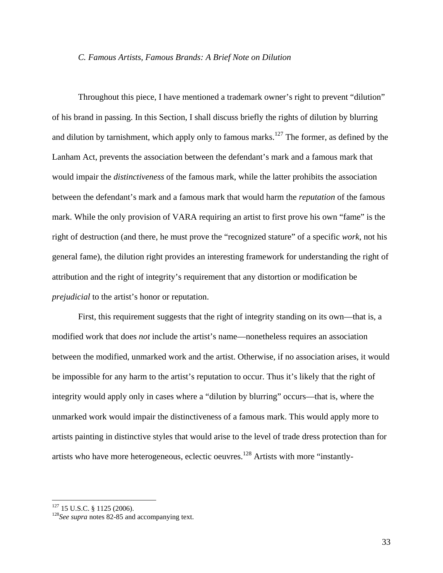## *C. Famous Artists, Famous Brands: A Brief Note on Dilution*

Throughout this piece, I have mentioned a trademark owner's right to prevent "dilution" of his brand in passing. In this Section, I shall discuss briefly the rights of dilution by blurring and dilution by tarnishment, which apply only to famous marks.<sup>127</sup> The former, as defined by the Lanham Act, prevents the association between the defendant's mark and a famous mark that would impair the *distinctiveness* of the famous mark, while the latter prohibits the association between the defendant's mark and a famous mark that would harm the *reputation* of the famous mark. While the only provision of VARA requiring an artist to first prove his own "fame" is the right of destruction (and there, he must prove the "recognized stature" of a specific *work*, not his general fame), the dilution right provides an interesting framework for understanding the right of attribution and the right of integrity's requirement that any distortion or modification be *prejudicial* to the artist's honor or reputation.

First, this requirement suggests that the right of integrity standing on its own—that is, a modified work that does *not* include the artist's name—nonetheless requires an association between the modified, unmarked work and the artist. Otherwise, if no association arises, it would be impossible for any harm to the artist's reputation to occur. Thus it's likely that the right of integrity would apply only in cases where a "dilution by blurring" occurs—that is, where the unmarked work would impair the distinctiveness of a famous mark. This would apply more to artists painting in distinctive styles that would arise to the level of trade dress protection than for artists who have more heterogeneous, eclectic oeuvres.128 Artists with more "instantly-

 $127$  15 U.S.C. § 1125 (2006).

<sup>&</sup>lt;sup>128</sup> See supra notes 82-85 and accompanying text.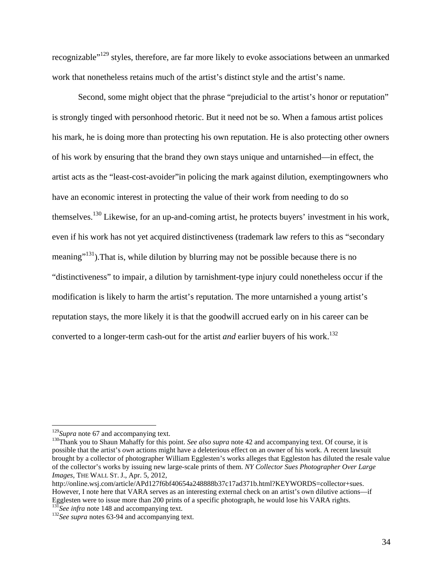recognizable"129 styles, therefore, are far more likely to evoke associations between an unmarked work that nonetheless retains much of the artist's distinct style and the artist's name.

Second, some might object that the phrase "prejudicial to the artist's honor or reputation" is strongly tinged with personhood rhetoric. But it need not be so. When a famous artist polices his mark, he is doing more than protecting his own reputation. He is also protecting other owners of his work by ensuring that the brand they own stays unique and untarnished—in effect, the artist acts as the "least-cost-avoider"in policing the mark against dilution, exemptingowners who have an economic interest in protecting the value of their work from needing to do so themselves.<sup>130</sup> Likewise, for an up-and-coming artist, he protects buyers' investment in his work, even if his work has not yet acquired distinctiveness (trademark law refers to this as "secondary meaning"<sup>131</sup>). That is, while dilution by blurring may not be possible because there is no "distinctiveness" to impair, a dilution by tarnishment-type injury could nonetheless occur if the modification is likely to harm the artist's reputation. The more untarnished a young artist's reputation stays, the more likely it is that the goodwill accrued early on in his career can be converted to a longer-term cash-out for the artist *and* earlier buyers of his work.<sup>132</sup>

<sup>&</sup>lt;sup>129</sup>*Supra* note 67 and accompanying text.<br><sup>130</sup>Thank you to Shaun Mahaffy for this point. *See also supra* note 42 and accompanying text. Of course, it is possible that the artist's *own* actions might have a deleterious effect on an owner of his work. A recent lawsuit brought by a collector of photographer William Egglesten's works alleges that Eggleston has diluted the resale value of the collector's works by issuing new large-scale prints of them. *NY Collector Sues Photographer Over Large Images*, THE WALL ST. J., Apr. 5, 2012,

http://online.wsj.com/article/APd127f6bf40654a248888b37c17ad371b.html?KEYWORDS=collector+sues. However, I note here that VARA serves as an interesting external check on an artist's own dilutive actions—if Egglesten were to issue more than 200 prints of a specific photograph, he would lose his VARA rights.

<sup>&</sup>lt;sup>131</sup>See infra note 148 and accompanying text.<br><sup>132</sup>See supra notes 63-94 and accompanying text.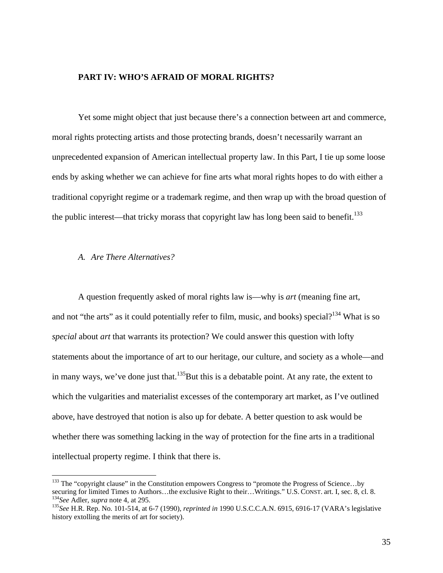# **PART IV: WHO'S AFRAID OF MORAL RIGHTS?**

Yet some might object that just because there's a connection between art and commerce, moral rights protecting artists and those protecting brands, doesn't necessarily warrant an unprecedented expansion of American intellectual property law. In this Part, I tie up some loose ends by asking whether we can achieve for fine arts what moral rights hopes to do with either a traditional copyright regime or a trademark regime, and then wrap up with the broad question of the public interest—that tricky morass that copyright law has long been said to benefit.<sup>133</sup>

## *A. Are There Alternatives?*

 

A question frequently asked of moral rights law is—why is *art* (meaning fine art, and not "the arts" as it could potentially refer to film, music, and books) special?<sup>134</sup> What is so *special* about *art* that warrants its protection? We could answer this question with lofty statements about the importance of art to our heritage, our culture, and society as a whole—and in many ways, we've done just that.<sup>135</sup>But this is a debatable point. At any rate, the extent to which the vulgarities and materialist excesses of the contemporary art market, as I've outlined above, have destroyed that notion is also up for debate. A better question to ask would be whether there was something lacking in the way of protection for the fine arts in a traditional intellectual property regime. I think that there is.

<sup>&</sup>lt;sup>133</sup> The "copyright clause" in the Constitution empowers Congress to "promote the Progress of Science...by securing for limited Times to Authors...the exclusive Right to their...Writings." U.S. CONST. art. I, sec. 8, cl. 8.<br>
<sup>134</sup>See Adler, *supra* note 4, at 295.<br>
<sup>135</sup>See H.R. Rep. No. 101-514, at 6-7 (1990), *reprinted in* 1

history extolling the merits of art for society).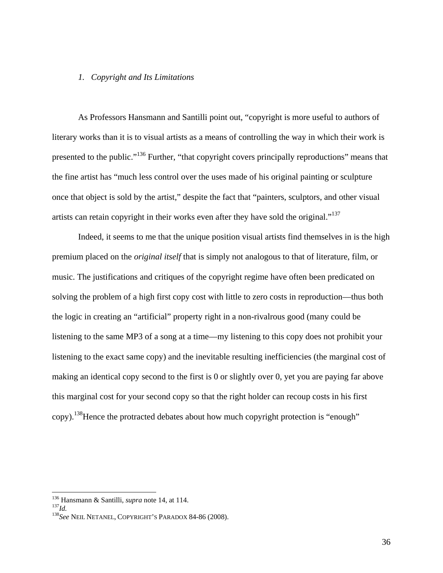## *1. Copyright and Its Limitations*

 As Professors Hansmann and Santilli point out, "copyright is more useful to authors of literary works than it is to visual artists as a means of controlling the way in which their work is presented to the public."136 Further, "that copyright covers principally reproductions" means that the fine artist has "much less control over the uses made of his original painting or sculpture once that object is sold by the artist," despite the fact that "painters, sculptors, and other visual artists can retain copyright in their works even after they have sold the original."<sup>137</sup>

 Indeed, it seems to me that the unique position visual artists find themselves in is the high premium placed on the *original itself* that is simply not analogous to that of literature, film, or music. The justifications and critiques of the copyright regime have often been predicated on solving the problem of a high first copy cost with little to zero costs in reproduction—thus both the logic in creating an "artificial" property right in a non-rivalrous good (many could be listening to the same MP3 of a song at a time—my listening to this copy does not prohibit your listening to the exact same copy) and the inevitable resulting inefficiencies (the marginal cost of making an identical copy second to the first is 0 or slightly over 0, yet you are paying far above this marginal cost for your second copy so that the right holder can recoup costs in his first copy).138Hence the protracted debates about how much copyright protection is "enough"

<sup>&</sup>lt;sup>136</sup> Hansmann & Santilli, *supra* note 14, at 114.

<sup>&</sup>lt;sup>137</sup>*Id. santillim 137*<br><sup>138</sup> See Neil Netanel, Copyright's Paradox 84-86 (2008).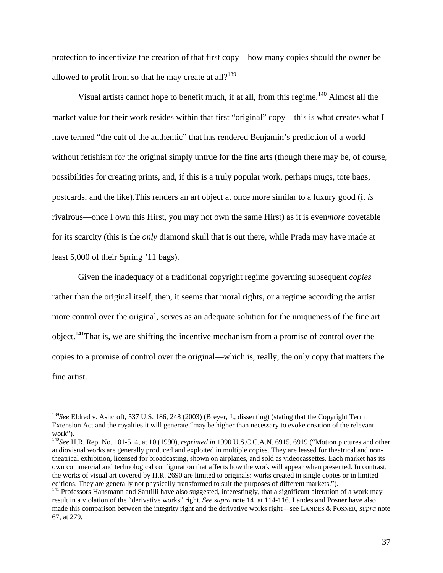protection to incentivize the creation of that first copy—how many copies should the owner be allowed to profit from so that he may create at all?<sup>139</sup>

Visual artists cannot hope to benefit much, if at all, from this regime.<sup>140</sup> Almost all the market value for their work resides within that first "original" copy—this is what creates what I have termed "the cult of the authentic" that has rendered Benjamin's prediction of a world without fetishism for the original simply untrue for the fine arts (though there may be, of course, possibilities for creating prints, and, if this is a truly popular work, perhaps mugs, tote bags, postcards, and the like).This renders an art object at once more similar to a luxury good (it *is*  rivalrous—once I own this Hirst, you may not own the same Hirst) as it is even*more* covetable for its scarcity (this is the *only* diamond skull that is out there, while Prada may have made at least 5,000 of their Spring '11 bags).

 Given the inadequacy of a traditional copyright regime governing subsequent *copies*  rather than the original itself, then, it seems that moral rights, or a regime according the artist more control over the original, serves as an adequate solution for the uniqueness of the fine art object.<sup>141</sup>That is, we are shifting the incentive mechanism from a promise of control over the copies to a promise of control over the original—which is, really, the only copy that matters the fine artist.

<sup>139</sup>*See* Eldred v. Ashcroft, 537 U.S. 186, 248 (2003) (Breyer, J., dissenting) (stating that the Copyright Term Extension Act and the royalties it will generate "may be higher than necessary to evoke creation of the relevant work").

<sup>140</sup>*See* H.R. Rep. No. 101-514, at 10 (1990), *reprinted in* 1990 U.S.C.C.A.N. 6915, 6919 ("Motion pictures and other audiovisual works are generally produced and exploited in multiple copies. They are leased for theatrical and nontheatrical exhibition, licensed for broadcasting, shown on airplanes, and sold as videocassettes. Each market has its own commercial and technological configuration that affects how the work will appear when presented. In contrast, the works of visual art covered by H.R. 2690 are limited to originals: works created in single copies or in limited editions. They are generally not physically transformed to suit the purposes of different markets.").<br><sup>141</sup> Professors Hansmann and Santilli have also suggested, interestingly, that a significant alteration of a work may

result in a violation of the "derivative works" right. *See supra* note 14, at 114-116. Landes and Posner have also made this comparison between the integrity right and the derivative works right—see LANDES & POSNER, *supra* note 67, at 279.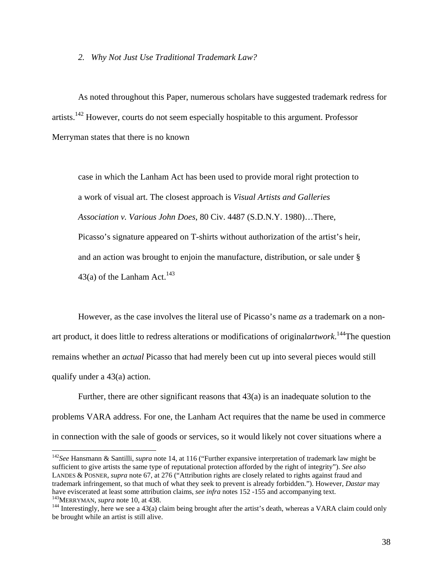## *2. Why Not Just Use Traditional Trademark Law?*

 As noted throughout this Paper, numerous scholars have suggested trademark redress for artists.142 However, courts do not seem especially hospitable to this argument. Professor Merryman states that there is no known

case in which the Lanham Act has been used to provide moral right protection to a work of visual art. The closest approach is *Visual Artists and Galleries Association v. Various John Does*, 80 Civ. 4487 (S.D.N.Y. 1980)…There, Picasso's signature appeared on T-shirts without authorization of the artist's heir, and an action was brought to enjoin the manufacture, distribution, or sale under § 43(a) of the Lanham Act.<sup>143</sup>

However, as the case involves the literal use of Picasso's name *as* a trademark on a nonart product, it does little to redress alterations or modifications of original*artwork*. 144The question remains whether an *actual* Picasso that had merely been cut up into several pieces would still qualify under a 43(a) action.

Further, there are other significant reasons that 43(a) is an inadequate solution to the problems VARA address. For one, the Lanham Act requires that the name be used in commerce in connection with the sale of goods or services, so it would likely not cover situations where a

<sup>142</sup>*See* Hansmann & Santilli, *supra* note 14, at 116 ("Further expansive interpretation of trademark law might be sufficient to give artists the same type of reputational protection afforded by the right of integrity"). *See also*  LANDES & POSNER, *supra* note 67, at 276 ("Attribution rights are closely related to rights against fraud and trademark infringement, so that much of what they seek to prevent is already forbidden."). However, *Dastar* may have eviscerated at least some attribution claims, *see infra* notes 152 -155 and accompanying text.<br><sup>143</sup>MERRYMAN, *supra* note 10, at 438.<br><sup>144</sup> Interestingly, here we see a 43(a) claim being brought after the artist's d

be brought while an artist is still alive.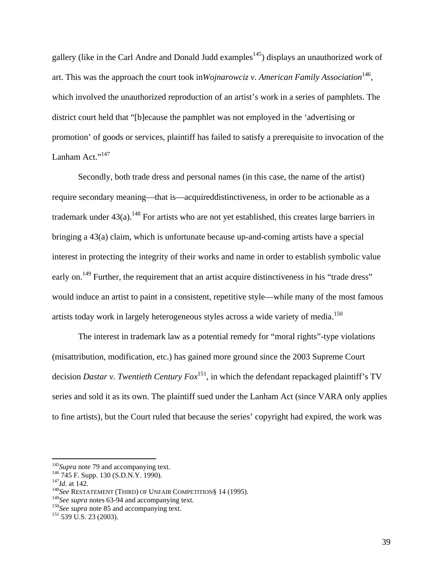gallery (like in the Carl Andre and Donald Judd examples<sup>145</sup>) displays an unauthorized work of art. This was the approach the court took in*Wojnarowciz v. American Family Association*<sup>146</sup>, which involved the unauthorized reproduction of an artist's work in a series of pamphlets. The district court held that "[b]ecause the pamphlet was not employed in the 'advertising or promotion' of goods or services, plaintiff has failed to satisfy a prerequisite to invocation of the Lanham Act."<sup>147</sup>

 Secondly, both trade dress and personal names (in this case, the name of the artist) require secondary meaning—that is—acquireddistinctiveness, in order to be actionable as a trademark under  $43(a)$ .<sup>148</sup> For artists who are not yet established, this creates large barriers in bringing a 43(a) claim, which is unfortunate because up-and-coming artists have a special interest in protecting the integrity of their works and name in order to establish symbolic value early on.<sup>149</sup> Further, the requirement that an artist acquire distinctiveness in his "trade dress" would induce an artist to paint in a consistent, repetitive style—while many of the most famous artists today work in largely heterogeneous styles across a wide variety of media.<sup>150</sup>

The interest in trademark law as a potential remedy for "moral rights"-type violations (misattribution, modification, etc.) has gained more ground since the 2003 Supreme Court decision *Dastar v. Twentieth Century Fox*151, in which the defendant repackaged plaintiff's TV series and sold it as its own. The plaintiff sued under the Lanham Act (since VARA only applies to fine artists), but the Court ruled that because the series' copyright had expired, the work was

<sup>&</sup>lt;sup>145</sup>*Supra* note 79 and accompanying text.<br><sup>146</sup> 745 F. Supp. 130 (S.D.N.Y. 1990).<br><sup>147</sup>*Id.* at 142.<br><sup>148</sup>*See* RESTATEMENT (THIRD) OF UNFAIR COMPETITION§ 14 (1995).

<sup>&</sup>lt;sup>149</sup>*See supra* notes 63-94 and accompanying text.<br><sup>150</sup>*See supra* note 85 and accompanying text.<br><sup>151</sup> 539 U.S. 23 (2003).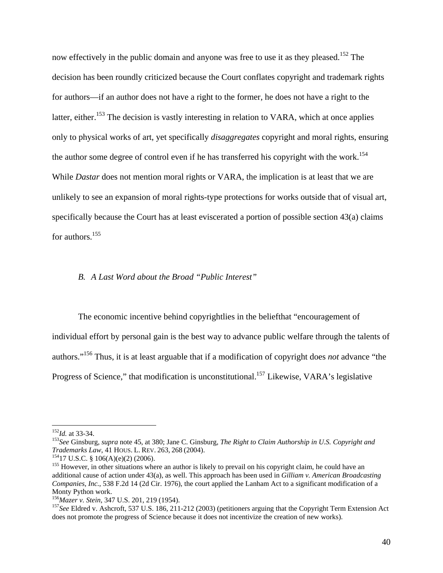now effectively in the public domain and anyone was free to use it as they pleased.<sup>152</sup> The decision has been roundly criticized because the Court conflates copyright and trademark rights for authors—if an author does not have a right to the former, he does not have a right to the latter, either.<sup>153</sup> The decision is vastly interesting in relation to VARA, which at once applies only to physical works of art, yet specifically *disaggregates* copyright and moral rights, ensuring the author some degree of control even if he has transferred his copyright with the work.<sup>154</sup> While *Dastar* does not mention moral rights or VARA, the implication is at least that we are unlikely to see an expansion of moral rights-type protections for works outside that of visual art, specifically because the Court has at least eviscerated a portion of possible section 43(a) claims for authors.155

# *B. A Last Word about the Broad "Public Interest"*

The economic incentive behind copyrightlies in the beliefthat "encouragement of individual effort by personal gain is the best way to advance public welfare through the talents of authors."156 Thus, it is at least arguable that if a modification of copyright does *not* advance "the Progress of Science," that modification is unconstitutional.<sup>157</sup> Likewise, VARA's legislative

<sup>152</sup>*Id.* at 33-34. 153*See* Ginsburg, *supra* note 45, at 380; Jane C. Ginsburg, *The Right to Claim Authorship in U.S. Copyright and* 

<sup>&</sup>lt;sup>154</sup>17 U.S.C. § 106(A)(e)(2) (2006).<br><sup>155</sup> However, in other situations where an author is likely to prevail on his copyright claim, he could have an additional cause of action under 43(a), as well. This approach has been used in *Gilliam v. American Broadcasting Companies, Inc.*, 538 F.2d 14 (2d Cir. 1976), the court applied the Lanham Act to a significant modification of a Monty Python work.<br><sup>156</sup>Mazer v. Stein, 347 U.S. 201, 219 (1954).

<sup>&</sup>lt;sup>157</sup>See Eldred v. Ashcroft, 537 U.S. 186, 211-212 (2003) (petitioners arguing that the Copyright Term Extension Act does not promote the progress of Science because it does not incentivize the creation of new works).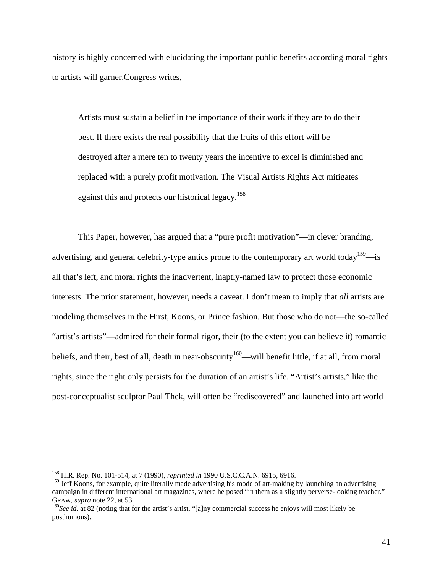history is highly concerned with elucidating the important public benefits according moral rights to artists will garner.Congress writes,

Artists must sustain a belief in the importance of their work if they are to do their best. If there exists the real possibility that the fruits of this effort will be destroyed after a mere ten to twenty years the incentive to excel is diminished and replaced with a purely profit motivation. The Visual Artists Rights Act mitigates against this and protects our historical legacy.<sup>158</sup>

 This Paper, however, has argued that a "pure profit motivation"—in clever branding, advertising, and general celebrity-type antics prone to the contemporary art world today<sup>159</sup>—is all that's left, and moral rights the inadvertent, inaptly-named law to protect those economic interests. The prior statement, however, needs a caveat. I don't mean to imply that *all* artists are modeling themselves in the Hirst, Koons, or Prince fashion. But those who do not—the so-called "artist's artists"—admired for their formal rigor, their (to the extent you can believe it) romantic beliefs, and their, best of all, death in near-obscurity<sup>160</sup>—will benefit little, if at all, from moral rights, since the right only persists for the duration of an artist's life. "Artist's artists," like the post-conceptualist sculptor Paul Thek, will often be "rediscovered" and launched into art world

<sup>158</sup> H.R. Rep. No. 101-514, at 7 (1990), *reprinted in* 1990 U.S.C.C.A.N. 6915, 6916.

<sup>&</sup>lt;sup>159</sup> Jeff Koons, for example, quite literally made advertising his mode of art-making by launching an advertising campaign in different international art magazines, where he posed "in them as a slightly perverse-looking teacher." GRAW, *supra* note 22, at 53.<br><sup>160</sup>*See id.* at 82 (noting that for the artist's artist, "[a]ny commercial success he enjoys will most likely be

posthumous).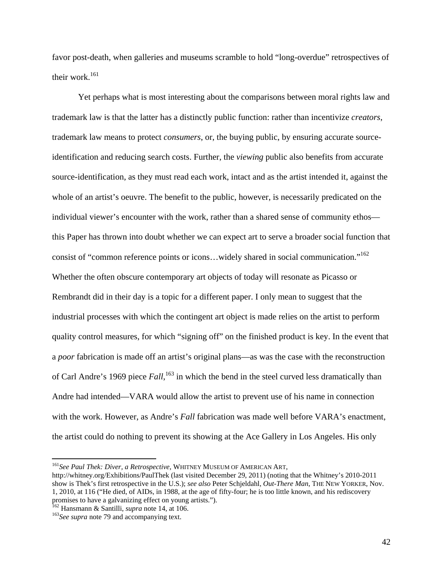favor post-death, when galleries and museums scramble to hold "long-overdue" retrospectives of their work.<sup>161</sup>

 Yet perhaps what is most interesting about the comparisons between moral rights law and trademark law is that the latter has a distinctly public function: rather than incentivize *creators*, trademark law means to protect *consumers*, or, the buying public, by ensuring accurate sourceidentification and reducing search costs. Further, the *viewing* public also benefits from accurate source-identification, as they must read each work, intact and as the artist intended it, against the whole of an artist's oeuvre. The benefit to the public, however, is necessarily predicated on the individual viewer's encounter with the work, rather than a shared sense of community ethos this Paper has thrown into doubt whether we can expect art to serve a broader social function that consist of "common reference points or icons…widely shared in social communication."162 Whether the often obscure contemporary art objects of today will resonate as Picasso or Rembrandt did in their day is a topic for a different paper. I only mean to suggest that the industrial processes with which the contingent art object is made relies on the artist to perform quality control measures, for which "signing off" on the finished product is key. In the event that a *poor* fabrication is made off an artist's original plans—as was the case with the reconstruction of Carl Andre's 1969 piece *Fall*, 163 in which the bend in the steel curved less dramatically than Andre had intended—VARA would allow the artist to prevent use of his name in connection with the work. However, as Andre's *Fall* fabrication was made well before VARA's enactment, the artist could do nothing to prevent its showing at the Ace Gallery in Los Angeles. His only

<sup>162</sup> Hansmann & Santilli, *supra* note 14, at 106.<br><sup>163</sup>*See supra* note 79 and accompanying text.

<sup>161</sup>*See Paul Thek: Diver, a Retrospective*, WHITNEY MUSEUM OF AMERICAN ART,

http://whitney.org/Exhibitions/PaulThek (last visited December 29, 2011) (noting that the Whitney's 2010-2011 show is Thek's first retrospective in the U.S.); *see also* Peter Schjeldahl, *Out-There Man*, THE NEW YORKER, Nov. 1, 2010, at 116 ("He died, of AIDs, in 1988, at the age of fifty-four; he is too little known, and his rediscovery promises to have a galvanizing effect on young artists.").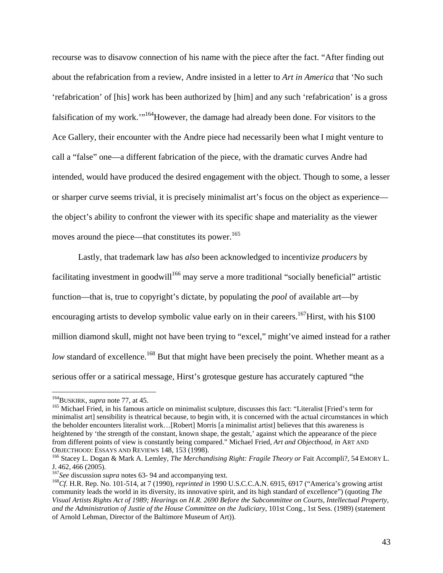recourse was to disavow connection of his name with the piece after the fact. "After finding out about the refabrication from a review, Andre insisted in a letter to *Art in America* that 'No such 'refabrication' of [his] work has been authorized by [him] and any such 'refabrication' is a gross falsification of my work.'"164However, the damage had already been done. For visitors to the Ace Gallery, their encounter with the Andre piece had necessarily been what I might venture to call a "false" one—a different fabrication of the piece, with the dramatic curves Andre had intended, would have produced the desired engagement with the object. Though to some, a lesser or sharper curve seems trivial, it is precisely minimalist art's focus on the object as experience the object's ability to confront the viewer with its specific shape and materiality as the viewer moves around the piece—that constitutes its power.<sup>165</sup>

 Lastly, that trademark law has *also* been acknowledged to incentivize *producers* by facilitating investment in goodwill<sup>166</sup> may serve a more traditional "socially beneficial" artistic function—that is, true to copyright's dictate, by populating the *pool* of available art—by encouraging artists to develop symbolic value early on in their careers.<sup>167</sup>Hirst, with his \$100 million diamond skull, might not have been trying to "excel," might've aimed instead for a rather *low* standard of excellence.<sup>168</sup> But that might have been precisely the point. Whether meant as a serious offer or a satirical message, Hirst's grotesque gesture has accurately captured "the

<sup>&</sup>lt;sup>164</sup>BUSKIRK, *supra* note 77, at 45.<br><sup>165</sup> Michael Fried, in his famous article on minimalist sculpture, discusses this fact: "Literalist [Fried's term for minimalist art] sensibility is theatrical because, to begin with, it is concerned with the actual circumstances in which the beholder encounters literalist work…[Robert] Morris [a minimalist artist] believes that this awareness is heightened by 'the strength of the constant, known shape, the gestalt,' against which the appearance of the piece from different points of view is constantly being compared." Michael Fried, *Art and Objecthood*, *in* ART AND

OBJECTHOOD: ESSAYS AND REVIEWS 148, 153 (1998).<br><sup>166</sup> Stacey L. Dogan & Mark A. Lemley, *The Merchandising Right: Fragile Theory or* Fait Accompli?, 54 EMORY L.<br>J. 462, 466 (2005).

 $^{167}$ See discussion *supra* notes 63-94 and accompanying text.<br> $^{168}$ Cf. H.R. Rep. No. 101-514, at 7 (1990), *reprinted in* 1990 U.S.C.C.A.N. 6915, 6917 ("America's growing artist community leads the world in its diversity, its innovative spirit, and its high standard of excellence") (quoting *The Visual Artists Rights Act of 1989; Hearings on H.R. 2690 Before the Subcommittee on Courts, Intellectual Property, and the Administration of Justie of the House Committee on the Judiciary*, 101st Cong., 1st Sess. (1989) (statement of Arnold Lehman, Director of the Baltimore Museum of Art)).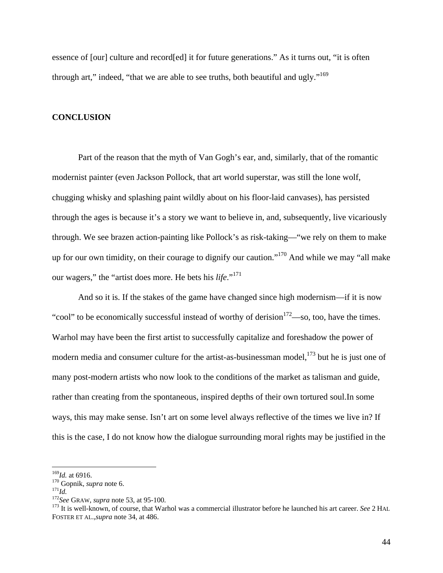essence of [our] culture and record[ed] it for future generations." As it turns out, "it is often through art," indeed, "that we are able to see truths, both beautiful and ugly."<sup>169</sup>

# **CONCLUSION**

 Part of the reason that the myth of Van Gogh's ear, and, similarly, that of the romantic modernist painter (even Jackson Pollock, that art world superstar, was still the lone wolf, chugging whisky and splashing paint wildly about on his floor-laid canvases), has persisted through the ages is because it's a story we want to believe in, and, subsequently, live vicariously through. We see brazen action-painting like Pollock's as risk-taking—"we rely on them to make up for our own timidity, on their courage to dignify our caution."<sup>170</sup> And while we may "all make our wagers," the "artist does more. He bets his *life*."<sup>171</sup>

And so it is. If the stakes of the game have changed since high modernism—if it is now "cool" to be economically successful instead of worthy of derision $172$ —so, too, have the times. Warhol may have been the first artist to successfully capitalize and foreshadow the power of modern media and consumer culture for the artist-as-businessman model, $173$  but he is just one of many post-modern artists who now look to the conditions of the market as talisman and guide, rather than creating from the spontaneous, inspired depths of their own tortured soul.In some ways, this may make sense. Isn't art on some level always reflective of the times we live in? If this is the case, I do not know how the dialogue surrounding moral rights may be justified in the

<sup>&</sup>lt;sup>169</sup>*Id.* at 6916.<br><sup>170</sup> Gopnik, *supra* note 6.<br><sup>171</sup>*Id.*<br><sup>172</sup>*See* GRAW, *supra* note 53, at 95-100.<br><sup>173</sup> It is well-known, of course, that Warhol was a commercial illustrator before he launched his art career. *See* FOSTER ET AL.,*supra* note 34, at 486.